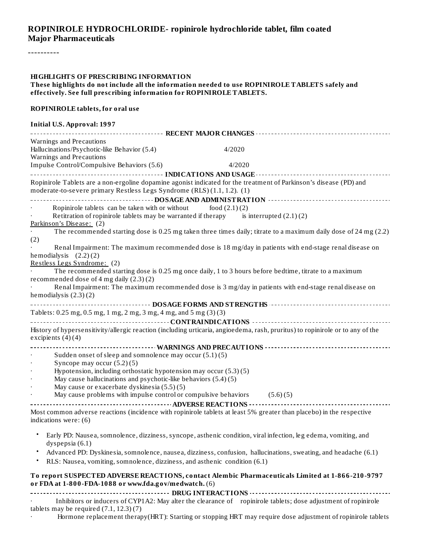#### **ROPINIROLE HYDROCHLORIDE- ropinirole hydrochloride tablet, film coated Major Pharmaceuticals**

----------

#### **HIGHLIGHTS OF PRESCRIBING INFORMATION These highlights do not include all the information needed to use ROPINIROLE TABLETS safely and effectively. See full prescribing information for ROPINIROLE TABLETS. ROPINIROLE tablets, for oral use Initial U.S. Approval: 1997 RECENT MAJOR CHANGES** Warnings and Precautions Hallucinations/Psychotic-like Behavior (5.4) 4/2020 Warnings and Precautions Impulse Control/Compulsive Behaviors (5.6) 4/2020 **INDICATIONS AND USAGE** Ropinirole Tablets are a non-ergoline dopamine agonist indicated for the treatment of Parkinson's disease (PD) and moderate-to-severe primary Restless Legs Syndrome (RLS) (1.1, 1.2). (1) **DOSAGE AND ADMINISTRATION** Ropinirole tablets can be taken with or without  $\qquad \qquad \text{food (2.1) (2)}$ Retitration of ropinirole tablets may be warranted if therapy is interrupted  $(2.1)(2)$ Parkinson's Disease: (2) · The recommended starting dose is 0.25 mg taken three times daily; titrate to a maximum daily dose of 24 mg (2.2) (2) Renal Impairment: The maximum recommended dose is 18 mg/day in patients with end-stage renal disease on hemodialysis (2.2) (2) Restless Legs Syndrome: (2) The recommended starting dose is 0.25 mg once daily, 1 to 3 hours before bedtime, titrate to a maximum recommended dose of 4 mg daily (2.3) (2) · Renal Impairment: The maximum recommended dose is 3 mg/day in patients with end-stage renal disease on hemodialysis (2.3) (2) **DOSAGE FORMS AND STRENGTHS** Tablets: 0.25 mg, 0.5 mg, 1 mg, 2 mg, 3 mg, 4 mg, and 5 mg (3) (3) **CONTRAINDICATIONS** History of hypersensitivity/allergic reaction (including urticaria, angioedema, rash, pruritus) to ropinirole or to any of the excipients (4) (4) **WARNINGS AND PRECAUTIONS** Sudden onset of sleep and somnolence may occur  $(5.1)(5)$ Syncope may occur  $(5.2)$  $(5)$ · Hypotension, including orthostatic hypotension may occur (5.3) (5) May cause hallucinations and psychotic-like behaviors  $(5.4)(5)$ May cause or exacerbate dyskinesia  $(5.5)(5)$ May cause problems with impulse control or compulsive behaviors  $(5.6)$  (5) **ADVERSE REACTIONS** Most common adverse reactions (incidence with ropinirole tablets at least 5% greater than placebo) in the respective indications were: (6) • • • **To report SUSPECTED ADVERSE REACTIONS, contact Alembic Pharmaceuticals Limited at 1-866-210-9797** Early PD: Nausea, somnolence, dizziness, syncope, asthenic condition, viral infection, leg edema, vomiting, and dyspepsia (6.1) Advanced PD: Dyskinesia, somnolence, nausea, dizziness, confusion, hallucinations, sweating, and headache (6.1) RLS: Nausea, vomiting, somnolence, dizziness, and asthenic condition (6.1)

**DRUG INTERACTIONS** Inhibitors or inducers of CYP1A2: May alter the clearance of ropinirole tablets; dose adjustment of ropinirole tablets may be required  $(7.1, 12.3)$  $(7)$ 

**or FDA at 1-800-FDA-1088 or www.fda.gov/medwatch.** (6)

· Hormone replacement therapy(HRT): Starting or stopping HRT may require dose adjustment of ropinirole tablets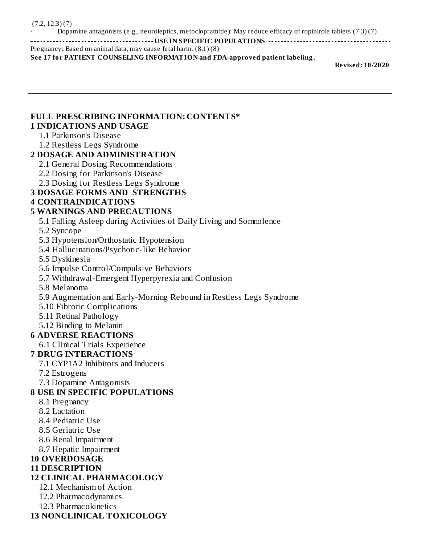· Dopamine antagonists (e.g., neuroleptics, metoclopramide): May reduce efficacy of ropinirole tablets (7.3) (7)

**USE IN SPECIFIC POPULATIONS**

Pregnancy: Based on animal data, may cause fetal harm. (8.1) (8) **See 17 for PATIENT COUNSELING INFORMATION and FDA-approved patient labeling.**

**Revised: 10/2020**

#### **FULL PRESCRIBING INFORMATION: CONTENTS\* 1 INDICATIONS AND USAGE**

- 1.1 Parkinson's Disease
- 1.2 Restless Legs Syndrome

#### **2 DOSAGE AND ADMINISTRATION**

- 2.1 General Dosing Recommendations
- 2.2 Dosing for Parkinson's Disease
- 2.3 Dosing for Restless Legs Syndrome

### **3 DOSAGE FORMS AND STRENGTHS**

### **4 CONTRAINDICATIONS**

### **5 WARNINGS AND PRECAUTIONS**

5.1 Falling Asleep during Activities of Daily Living and Somnolence

5.2 Syncope

- 5.3 Hypotension/Orthostatic Hypotension
- 5.4 Hallucinations/Psychotic-like Behavior

5.5 Dyskinesia

5.6 Impulse Control/Compulsive Behaviors

### 5.7 Withdrawal-Emergent Hyperpyrexia and Confusion

5.8 Melanoma

5.9 Augmentation and Early-Morning Rebound in Restless Legs Syndrome

5.10 Fibrotic Complications

- 5.11 Retinal Pathology
- 5.12 Binding to Melanin

### **6 ADVERSE REACTIONS**

6.1 Clinical Trials Experience

### **7 DRUG INTERACTIONS**

7.1 CYP1A2 Inhibitors and Inducers

- 7.2 Estrogens
- 7.3 Dopamine Antagonists

### **8 USE IN SPECIFIC POPULATIONS**

- 8.1 Pregnancy
- 8.2 Lactation
- 8.4 Pediatric Use
- 8.5 Geriatric Use
- 8.6 Renal Impairment
- 8.7 Hepatic Impairment

### **10 OVERDOSAGE**

### **11 DESCRIPTION**

## **12 CLINICAL PHARMACOLOGY**

- 12.1 Mechanism of Action
- 12.2 Pharmacodynamics
- 12.3 Pharmacokinetics

### **13 NONCLINICAL TOXICOLOGY**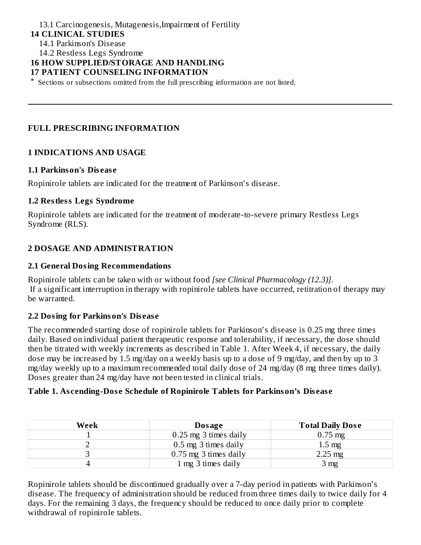#### 13.1 Carcinogenesis, Mutagenesis,Impairment of Fertility **14 CLINICAL STUDIES** 14.1 Parkinson's Disease

14.2 Restless Legs Syndrome

#### **16 HOW SUPPLIED/STORAGE AND HANDLING**

#### **17 PATIENT COUNSELING INFORMATION**

\* Sections or subsections omitted from the full prescribing information are not listed.

#### **FULL PRESCRIBING INFORMATION**

#### **1 INDICATIONS AND USAGE**

#### **1.1 Parkinson's Dis eas e**

Ropinirole tablets are indicated for the treatment of Parkinson's disease.

#### **1.2 Restless Legs Syndrome**

Ropinirole tablets are indicated for the treatment of moderate-to-severe primary Restless Legs Syndrome (RLS).

#### **2 DOSAGE AND ADMINISTRATION**

#### **2.1 General Dosing Recommendations**

Ropinirole tablets can be taken with or without food *[see Clinical Pharmacology (12.3)]*. If a significant interruption in therapy with ropinirole tablets have occurred, retitration of therapy may be warranted.

#### **2.2 Dosing for Parkinson's Dis eas e**

The recommended starting dose of ropinirole tablets for Parkinson's disease is 0.25 mg three times daily. Based on individual patient therapeutic response and tolerability, if necessary, the dose should then be titrated with weekly increments as described in Table 1. After Week 4, if necessary, the daily dose may be increased by 1.5 mg/day on a weekly basis up to a dose of 9 mg/day, and then by up to 3 mg/day weekly up to a maximum recommended total daily dose of 24 mg/day (8 mg three times daily). Doses greater than 24 mg/day have not been tested in clinical trials.

#### **Table 1. As cending-Dos e Schedule of Ropinirole Tablets for Parkinson's Dis eas e**

| Week | Dosage                  | <b>Total Daily Dose</b> |
|------|-------------------------|-------------------------|
|      | 0.25 mg 3 times daily   | $0.75 \,\mathrm{mg}$    |
|      | 0.5 mg 3 times daily    | $1.5 \text{ mg}$        |
|      | $0.75$ mg 3 times daily | $2.25 \text{ mg}$       |
|      | 1 mg 3 times daily      | 3 <sub>mg</sub>         |

Ropinirole tablets should be discontinued gradually over a 7-day period in patients with Parkinson's disease. The frequency of administration should be reduced from three times daily to twice daily for 4 days. For the remaining 3 days, the frequency should be reduced to once daily prior to complete withdrawal of ropinirole tablets.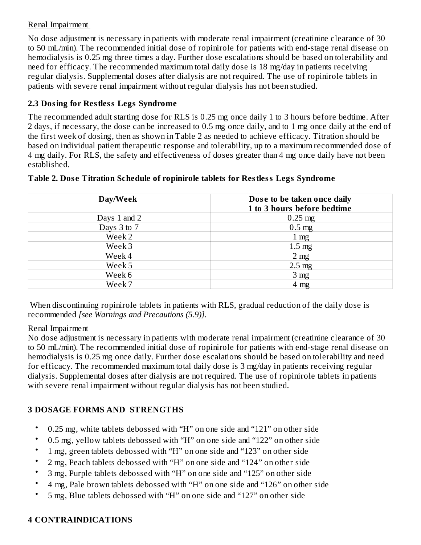#### Renal Impairment

No dose adjustment is necessary in patients with moderate renal impairment (creatinine clearance of 30 to 50 mL/min). The recommended initial dose of ropinirole for patients with end-stage renal disease on hemodialysis is 0.25 mg three times a day. Further dose escalations should be based on tolerability and need for efficacy. The recommended maximum total daily dose is 18 mg/day in patients receiving regular dialysis. Supplemental doses after dialysis are not required. The use of ropinirole tablets in patients with severe renal impairment without regular dialysis has not been studied.

### **2.3 Dosing for Restless Legs Syndrome**

The recommended adult starting dose for RLS is 0.25 mg once daily 1 to 3 hours before bedtime. After 2 days, if necessary, the dose can be increased to 0.5 mg once daily, and to 1 mg once daily at the end of the first week of dosing, then as shown in Table 2 as needed to achieve efficacy. Titration should be based on individual patient therapeutic response and tolerability, up to a maximum recommended dose of 4 mg daily. For RLS, the safety and effectiveness of doses greater than 4 mg once daily have not been established.

| Day/Week     | Dose to be taken once daily<br>1 to 3 hours before bedtime |
|--------------|------------------------------------------------------------|
| Days 1 and 2 | $0.25$ mg                                                  |
| Days 3 to 7  | $0.5$ mg                                                   |
| Week 2       | $1 \text{ mg}$                                             |
| Week 3       | $1.5 \text{ mg}$                                           |
| Week 4       | 2 <sub>mg</sub>                                            |
| Week 5       | $2.5 \text{ mg}$                                           |
| Week 6       | 3 <sub>mg</sub>                                            |
| Week 7       | $4 \text{ mg}$                                             |

#### **Table 2. Dos e Titration Schedule of ropinirole tablets for Restless Legs Syndrome**

When discontinuing ropinirole tablets in patients with RLS, gradual reduction of the daily dose is recommended *[see Warnings and Precautions (5.9)].*

#### Renal Impairment

No dose adjustment is necessary in patients with moderate renal impairment (creatinine clearance of 30 to 50 mL/min). The recommended initial dose of ropinirole for patients with end-stage renal disease on hemodialysis is 0.25 mg once daily. Further dose escalations should be based on tolerability and need for efficacy. The recommended maximum total daily dose is 3 mg/day in patients receiving regular dialysis. Supplemental doses after dialysis are not required. The use of ropinirole tablets in patients with severe renal impairment without regular dialysis has not been studied.

## **3 DOSAGE FORMS AND STRENGTHS**

- 0.25 mg, white tablets debossed with "H" on one side and "121" on other side
- 0.5 mg, yellow tablets debossed with "H" on one side and "122" on other side
- 1 mg, green tablets debossed with "H" on one side and "123" on other side
- 2 mg, Peach tablets debossed with "H" on one side and "124" on other side
- 3 mg, Purple tablets debossed with "H" on one side and "125" on other side
- 4 mg, Pale brown tablets debossed with "H" on one side and "126" on other side
- 5 mg, Blue tablets debossed with "H" on one side and "127" on other side

## **4 CONTRAINDICATIONS**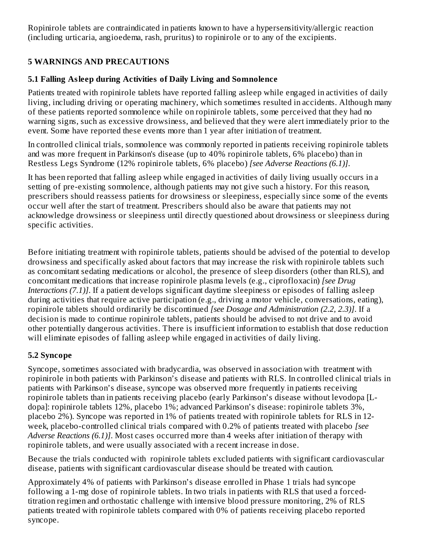Ropinirole tablets are contraindicated in patients known to have a hypersensitivity/allergic reaction (including urticaria, angioedema, rash, pruritus) to ropinirole or to any of the excipients.

## **5 WARNINGS AND PRECAUTIONS**

### **5.1 Falling Asleep during Activities of Daily Living and Somnolence**

Patients treated with ropinirole tablets have reported falling asleep while engaged in activities of daily living, including driving or operating machinery, which sometimes resulted in accidents. Although many of these patients reported somnolence while on ropinirole tablets, some perceived that they had no warning signs, such as excessive drowsiness, and believed that they were alert immediately prior to the event. Some have reported these events more than 1 year after initiation of treatment.

In controlled clinical trials, somnolence was commonly reported in patients receiving ropinirole tablets and was more frequent in Parkinson's disease (up to 40% ropinirole tablets, 6% placebo) than in Restless Legs Syndrome (12% ropinirole tablets, 6% placebo) *[see Adverse Reactions (6.1)]*.

It has been reported that falling asleep while engaged in activities of daily living usually occurs in a setting of pre-existing somnolence, although patients may not give such a history. For this reason, prescribers should reassess patients for drowsiness or sleepiness, especially since some of the events occur well after the start of treatment. Prescribers should also be aware that patients may not acknowledge drowsiness or sleepiness until directly questioned about drowsiness or sleepiness during specific activities.

Before initiating treatment with ropinirole tablets, patients should be advised of the potential to develop drowsiness and specifically asked about factors that may increase the risk with ropinirole tablets such as concomitant sedating medications or alcohol, the presence of sleep disorders (other than RLS), and concomitant medications that increase ropinirole plasma levels (e.g., ciprofloxacin) *[see Drug Interactions (7.1)]*. If a patient develops significant daytime sleepiness or episodes of falling asleep during activities that require active participation (e.g., driving a motor vehicle, conversations, eating), ropinirole tablets should ordinarily be discontinued *[see Dosage and Administration (2.2, 2.3)]*. If a decision is made to continue ropinirole tablets, patients should be advised to not drive and to avoid other potentially dangerous activities. There is insufficient information to establish that dose reduction will eliminate episodes of falling asleep while engaged in activities of daily living*.*

### **5.2 Syncope**

Syncope, sometimes associated with bradycardia, was observed in association with treatment with ropinirole in both patients with Parkinson's disease and patients with RLS. In controlled clinical trials in patients with Parkinson's disease, syncope was observed more frequently in patients receiving ropinirole tablets than in patients receiving placebo (early Parkinson's disease without levodopa [Ldopa]: ropinirole tablets 12%, placebo 1%; advanced Parkinson's disease: ropinirole tablets 3%, placebo 2%). Syncope was reported in 1% of patients treated with ropinirole tablets for RLS in 12 week, placebo-controlled clinical trials compared with 0.2% of patients treated with placebo *[see Adverse Reactions (6.1)]*. Most cases occurred more than 4 weeks after initiation of therapy with ropinirole tablets, and were usually associated with a recent increase in dose.

Because the trials conducted with ropinirole tablets excluded patients with significant cardiovascular disease, patients with significant cardiovascular disease should be treated with caution.

Approximately 4% of patients with Parkinson's disease enrolled in Phase 1 trials had syncope following a 1-mg dose of ropinirole tablets. In two trials in patients with RLS that used a forcedtitration regimen and orthostatic challenge with intensive blood pressure monitoring, 2% of RLS patients treated with ropinirole tablets compared with 0% of patients receiving placebo reported syncope.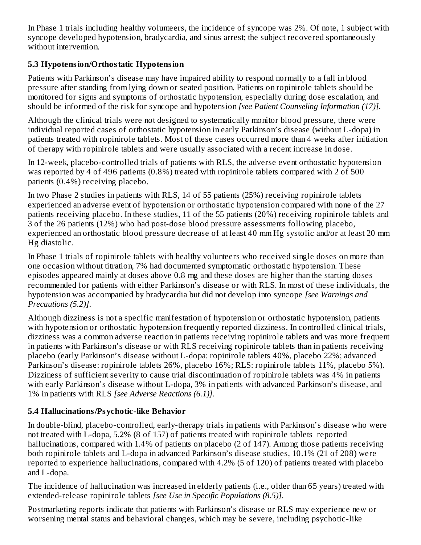In Phase 1 trials including healthy volunteers, the incidence of syncope was 2%. Of note, 1 subject with syncope developed hypotension, bradycardia, and sinus arrest; the subject recovered spontaneously without intervention.

### **5.3 Hypotension/Orthostatic Hypotension**

Patients with Parkinson's disease may have impaired ability to respond normally to a fall in blood pressure after standing from lying down or seated position. Patients on ropinirole tablets should be monitored for signs and symptoms of orthostatic hypotension, especially during dose escalation, and should be informed of the risk for syncope and hypotension *[see Patient Counseling Information (17)]*.

Although the clinical trials were not designed to systematically monitor blood pressure, there were individual reported cases of orthostatic hypotension in early Parkinson's disease (without L-dopa) in patients treated with ropinirole tablets. Most of these cases occurred more than 4 weeks after initiation of therapy with ropinirole tablets and were usually associated with a recent increase in dose.

In 12-week, placebo-controlled trials of patients with RLS, the adverse event orthostatic hypotension was reported by 4 of 496 patients (0.8%) treated with ropinirole tablets compared with 2 of 500 patients (0.4%) receiving placebo.

In two Phase 2 studies in patients with RLS, 14 of 55 patients (25%) receiving ropinirole tablets experienced an adverse event of hypotension or orthostatic hypotension compared with none of the 27 patients receiving placebo. In these studies, 11 of the 55 patients (20%) receiving ropinirole tablets and 3 of the 26 patients (12%) who had post-dose blood pressure assessments following placebo, experienced an orthostatic blood pressure decrease of at least 40 mm Hg systolic and/or at least 20 mm Hg diastolic.

In Phase 1 trials of ropinirole tablets with healthy volunteers who received single doses on more than one occasion without titration, 7% had documented symptomatic orthostatic hypotension. These episodes appeared mainly at doses above 0.8 mg and these doses are higher than the starting doses recommended for patients with either Parkinson's disease or with RLS. In most of these individuals, the hypotension was accompanied by bradycardia but did not develop into syncope *[see Warnings and Precautions (5.2)]*.

Although dizziness is not a specific manifestation of hypotension or orthostatic hypotension, patients with hypotension or orthostatic hypotension frequently reported dizziness. In controlled clinical trials, dizziness was a common adverse reaction in patients receiving ropinirole tablets and was more frequent in patients with Parkinson's disease or with RLS receiving ropinirole tablets than in patients receiving placebo (early Parkinson's disease without L-dopa: ropinirole tablets 40%, placebo 22%; advanced Parkinson's disease: ropinirole tablets 26%, placebo 16%; RLS: ropinirole tablets 11%, placebo 5%). Dizziness of sufficient severity to cause trial discontinuation of ropinirole tablets was 4% in patients with early Parkinson's disease without L-dopa, 3% in patients with advanced Parkinson's disease, and 1% in patients with RLS *[see Adverse Reactions (6.1)].*

## **5.4 Hallucinations/Psychotic-like Behavior**

In double-blind, placebo-controlled, early-therapy trials in patients with Parkinson's disease who were not treated with L-dopa, 5.2% (8 of 157) of patients treated with ropinirole tablets reported hallucinations, compared with 1.4% of patients on placebo (2 of 147). Among those patients receiving both ropinirole tablets and L-dopa in advanced Parkinson's disease studies, 10.1% (21 of 208) were reported to experience hallucinations, compared with 4.2% (5 of 120) of patients treated with placebo and L-dopa.

The incidence of hallucination was increased in elderly patients (i.e., older than 65 years) treated with extended-release ropinirole tablets *[see Use in Specific Populations (8.5)]*.

Postmarketing reports indicate that patients with Parkinson's disease or RLS may experience new or worsening mental status and behavioral changes, which may be severe, including psychotic-like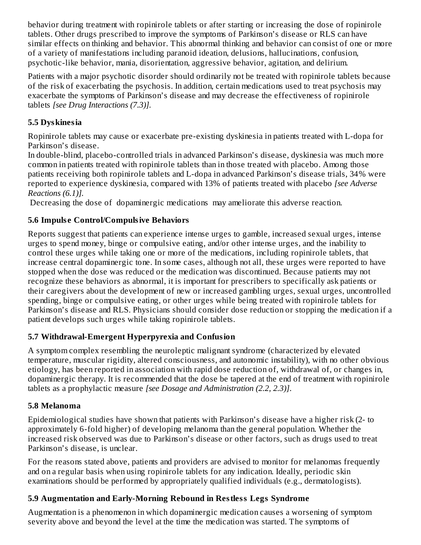behavior during treatment with ropinirole tablets or after starting or increasing the dose of ropinirole tablets. Other drugs prescribed to improve the symptoms of Parkinson's disease or RLS can have similar effects on thinking and behavior. This abnormal thinking and behavior can consist of one or more of a variety of manifestations including paranoid ideation, delusions, hallucinations, confusion, psychotic-like behavior, mania, disorientation, aggressive behavior, agitation, and delirium.

Patients with a major psychotic disorder should ordinarily not be treated with ropinirole tablets because of the risk of exacerbating the psychosis. In addition, certain medications used to treat psychosis may exacerbate the symptoms of Parkinson's disease and may decrease the effectiveness of ropinirole tablets *[see Drug Interactions (7.3)].*

### **5.5 Dyskinesia**

Ropinirole tablets may cause or exacerbate pre-existing dyskinesia in patients treated with L-dopa for Parkinson's disease.

In double-blind, placebo-controlled trials in advanced Parkinson's disease, dyskinesia was much more common in patients treated with ropinirole tablets than in those treated with placebo. Among those patients receiving both ropinirole tablets and L-dopa in advanced Parkinson's disease trials, 34% were reported to experience dyskinesia, compared with 13% of patients treated with placebo *[see Adverse Reactions (6.1)].*

Decreasing the dose of dopaminergic medications may ameliorate this adverse reaction.

## **5.6 Impuls e Control/Compulsive Behaviors**

Reports suggest that patients can experience intense urges to gamble, increased sexual urges, intense urges to spend money, binge or compulsive eating, and/or other intense urges, and the inability to control these urges while taking one or more of the medications, including ropinirole tablets, that increase central dopaminergic tone. In some cases, although not all, these urges were reported to have stopped when the dose was reduced or the medication was discontinued. Because patients may not recognize these behaviors as abnormal, it is important for prescribers to specifically ask patients or their caregivers about the development of new or increased gambling urges, sexual urges, uncontrolled spending, binge or compulsive eating, or other urges while being treated with ropinirole tablets for Parkinson's disease and RLS. Physicians should consider dose reduction or stopping the medication if a patient develops such urges while taking ropinirole tablets.

## **5.7 Withdrawal-Emergent Hyperpyrexia and Confusion**

A symptom complex resembling the neuroleptic malignant syndrome (characterized by elevated temperature, muscular rigidity, altered consciousness, and autonomic instability), with no other obvious etiology, has been reported in association with rapid dose reduction of, withdrawal of, or changes in, dopaminergic therapy. It is recommended that the dose be tapered at the end of treatment with ropinirole tablets as a prophylactic measure *[see Dosage and Administration (2.2, 2.3)]*.

### **5.8 Melanoma**

Epidemiological studies have shown that patients with Parkinson's disease have a higher risk (2- to approximately 6-fold higher) of developing melanoma than the general population. Whether the increased risk observed was due to Parkinson's disease or other factors, such as drugs used to treat Parkinson's disease, is unclear.

For the reasons stated above, patients and providers are advised to monitor for melanomas frequently and on a regular basis when using ropinirole tablets for any indication. Ideally, periodic skin examinations should be performed by appropriately qualified individuals (e.g., dermatologists).

## **5.9 Augmentation and Early-Morning Rebound in Restless Legs Syndrome**

Augmentation is a phenomenon in which dopaminergic medication causes a worsening of symptom severity above and beyond the level at the time the medication was started. The symptoms of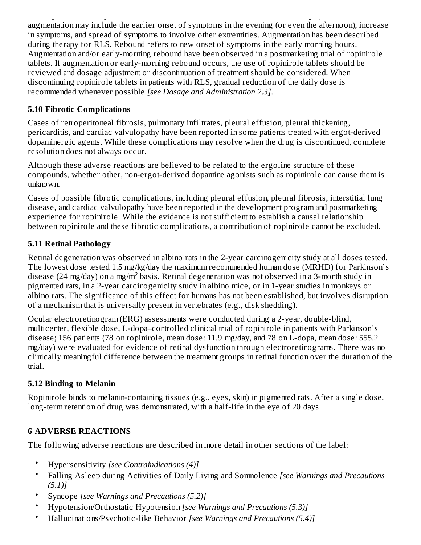severity above and beyond the level at the time the medication was started. The symptoms of augmentation may include the earlier onset of symptoms in the evening (or even the afternoon), increase in symptoms, and spread of symptoms to involve other extremities. Augmentation has been described during therapy for RLS. Rebound refers to new onset of symptoms in the early morning hours. Augmentation and/or early-morning rebound have been observed in a postmarketing trial of ropinirole tablets. If augmentation or early-morning rebound occurs, the use of ropinirole tablets should be reviewed and dosage adjustment or discontinuation of treatment should be considered. When discontinuing ropinirole tablets in patients with RLS, gradual reduction of the daily dose is recommended whenever possible *[see Dosage and Administration 2.3]*.

### **5.10 Fibrotic Complications**

Cases of retroperitoneal fibrosis, pulmonary infiltrates, pleural effusion, pleural thickening, pericarditis, and cardiac valvulopathy have been reported in some patients treated with ergot-derived dopaminergic agents. While these complications may resolve when the drug is discontinued, complete resolution does not always occur.

Although these adverse reactions are believed to be related to the ergoline structure of these compounds, whether other, non-ergot-derived dopamine agonists such as ropinirole can cause them is unknown.

Cases of possible fibrotic complications, including pleural effusion, pleural fibrosis, interstitial lung disease, and cardiac valvulopathy have been reported in the development program and postmarketing experience for ropinirole. While the evidence is not sufficient to establish a causal relationship between ropinirole and these fibrotic complications, a contribution of ropinirole cannot be excluded.

## **5.11 Retinal Pathology**

Retinal degeneration was observed in albino rats in the 2-year carcinogenicity study at all doses tested. The lowest dose tested 1.5 mg/kg/day the maximum recommended human dose (MRHD) for Parkinson's disease (24 mg/day) on a mg/m $^2$  basis. Retinal degeneration was not observed in a 3-month study in pigmented rats, in a 2-year carcinogenicity study in albino mice, or in 1-year studies in monkeys or albino rats. The significance of this effect for humans has not been established, but involves disruption of a mechanism that is universally present in vertebrates (e.g., disk shedding).

Ocular electroretinogram (ERG) assessments were conducted during a 2-year, double-blind, multicenter, flexible dose, L-dopa–controlled clinical trial of ropinirole in patients with Parkinson's disease; 156 patients (78 on ropinirole, mean dose: 11.9 mg/day, and 78 on L-dopa, mean dose: 555.2 mg/day) were evaluated for evidence of retinal dysfunction through electroretinograms. There was no clinically meaningful difference between the treatment groups in retinal function over the duration of the trial.

## **5.12 Binding to Melanin**

Ropinirole binds to melanin-containing tissues (e.g., eyes, skin) in pigmented rats. After a single dose, long-term retention of drug was demonstrated, with a half-life in the eye of 20 days.

## **6 ADVERSE REACTIONS**

The following adverse reactions are described in more detail in other sections of the label:

- Hypersensitivity *[see Contraindications (4)]*
- Falling Asleep during Activities of Daily Living and Somnolence *[see Warnings and Precautions (5.1)]*
- Syncope *[see Warnings and Precautions (5.2)]*
- Hypotension/Orthostatic Hypotension *[see Warnings and Precautions (5.3)]*
- Hallucinations/Psychotic-like Behavior *[see Warnings and Precautions (5.4)]*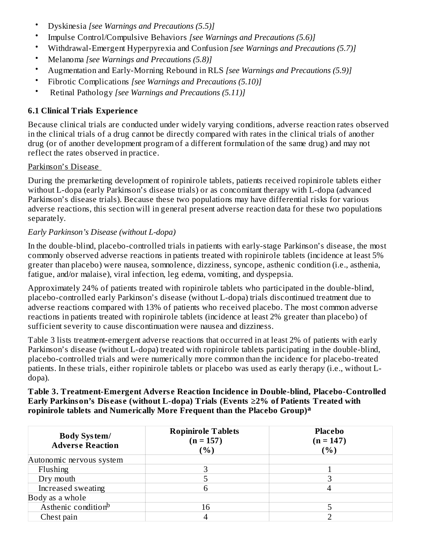- Dyskinesia *[see Warnings and Precautions (5.5)]*
- Impulse Control/Compulsive Behaviors *[see Warnings and Precautions (5.6)]*
- Withdrawal-Emergent Hyperpyrexia and Confusion *[see Warnings and Precautions (5.7)]*
- Melanoma *[see Warnings and Precautions (5.8)]*
- Augmentation and Early-Morning Rebound in RLS *[see Warnings and Precautions (5.9)]*
- Fibrotic Complications *[see Warnings and Precautions (5.10)]*
- Retinal Pathology *[see Warnings and Precautions (5.11)]*

#### **6.1 Clinical Trials Experience**

Because clinical trials are conducted under widely varying conditions, adverse reaction rates observed in the clinical trials of a drug cannot be directly compared with rates in the clinical trials of another drug (or of another development program of a different formulation of the same drug) and may not reflect the rates observed in practice.

#### Parkinson's Disease

During the premarketing development of ropinirole tablets, patients received ropinirole tablets either without L-dopa (early Parkinson's disease trials) or as concomitant therapy with L-dopa (advanced Parkinson's disease trials). Because these two populations may have differential risks for various adverse reactions, this section will in general present adverse reaction data for these two populations separately.

#### *Early Parkinson's Disease (without L-dopa)*

In the double-blind, placebo-controlled trials in patients with early-stage Parkinson's disease, the most commonly observed adverse reactions in patients treated with ropinirole tablets (incidence at least 5% greater than placebo) were nausea, somnolence, dizziness, syncope, asthenic condition (i.e., asthenia, fatigue, and/or malaise), viral infection, leg edema, vomiting, and dyspepsia.

Approximately 24% of patients treated with ropinirole tablets who participated in the double-blind, placebo-controlled early Parkinson's disease (without L-dopa) trials discontinued treatment due to adverse reactions compared with 13% of patients who received placebo. The most common adverse reactions in patients treated with ropinirole tablets (incidence at least 2% greater than placebo) of sufficient severity to cause discontinuation were nausea and dizziness.

Table 3 lists treatment-emergent adverse reactions that occurred in at least 2% of patients with early Parkinson's disease (without L-dopa) treated with ropinirole tablets participating in the double-blind, placebo-controlled trials and were numerically more common than the incidence for placebo-treated patients. In these trials, either ropinirole tablets or placebo was used as early therapy (i.e., without Ldopa).

#### **Table 3. Treatment-Emergent Advers e Reaction Incidence in Double-blind, Placebo-Controlled Early Parkinson's Dis eas e (without L-dopa) Trials (Events ≥2% of Patients Treated with ropinirole tablets and Numerically More Frequent than the Placebo Group) a**

| <b>Body System/</b><br><b>Adverse Reaction</b> | <b>Ropinirole Tablets</b><br>$(n = 157)$<br>( %) | <b>Placebo</b><br>$(n = 147)$<br>( %) |
|------------------------------------------------|--------------------------------------------------|---------------------------------------|
| Autonomic nervous system                       |                                                  |                                       |
| Flushing                                       |                                                  |                                       |
| Dry mouth                                      |                                                  |                                       |
| Increased sweating                             | h                                                |                                       |
| Body as a whole                                |                                                  |                                       |
| Asthenic condition <sup>b</sup>                | 16                                               |                                       |
| Chest pain                                     |                                                  |                                       |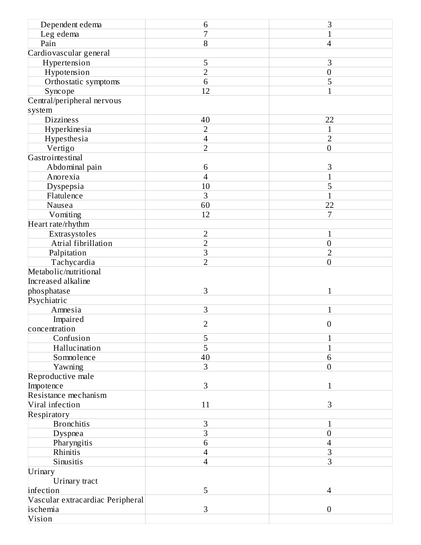| Dependent edema                  | 6                        | 3                |
|----------------------------------|--------------------------|------------------|
| Leg edema                        | 7                        | $\mathbf{1}$     |
| Pain                             | 8                        | 4                |
| Cardiovascular general           |                          |                  |
| Hypertension                     | 5                        | 3                |
| Hypotension                      | $\overline{2}$           | $\boldsymbol{0}$ |
| Orthostatic symptoms             | 6                        | 5                |
| Syncope                          | 12                       | $\mathbf{1}$     |
| Central/peripheral nervous       |                          |                  |
| system                           |                          |                  |
| <b>Dizziness</b>                 | 40                       | 22               |
| Hyperkinesia                     | $\overline{2}$           | $\mathbf{1}$     |
| Hypesthesia                      | $\overline{\mathcal{A}}$ | $\overline{2}$   |
| Vertigo                          | $\overline{2}$           | $\boldsymbol{0}$ |
| Gastrointestinal                 |                          |                  |
| Abdominal pain                   | 6                        | З                |
| Anorexia                         | $\overline{4}$           | $\overline{1}$   |
| Dyspepsia                        | 10                       | 5                |
| Flatulence                       | 3                        | $\mathbf{1}$     |
| Nausea                           | 60                       | 22               |
| Vomiting                         | 12                       | 7                |
| Heart rate/rhythm                |                          |                  |
| Extrasystoles                    | $\overline{2}$           | 1                |
| Atrial fibrillation              | $\overline{2}$           | $\boldsymbol{0}$ |
| Palpitation                      | 3                        | $\overline{2}$   |
| Tachycardia                      | $\overline{2}$           | $\boldsymbol{0}$ |
| Metabolic/nutritional            |                          |                  |
| Increased alkaline               |                          |                  |
| phosphatase                      | 3                        | 1                |
| Psychiatric                      |                          |                  |
| Amnesia                          | 3                        | 1                |
| Impaired                         |                          |                  |
| concentration                    | $\overline{2}$           | $\boldsymbol{0}$ |
| Confusion                        | 5                        |                  |
| Hallucination                    | 5                        | 1                |
| Somnolence                       | 40                       | 6                |
| Yawning                          | 3                        | $\boldsymbol{0}$ |
| Reproductive male                |                          |                  |
| Impotence                        | 3                        | 1                |
| Resistance mechanism             |                          |                  |
| Viral infection                  | 11                       | 3                |
| Respiratory                      |                          |                  |
| <b>Bronchitis</b>                | 3                        | $\mathbf{1}$     |
| <b>Dyspnea</b>                   | 3                        | $\boldsymbol{0}$ |
| Pharyngitis                      | 6                        | 4                |
| Rhinitis                         | $\overline{\mathbf{4}}$  | 3                |
| Sinusitis                        | $\overline{4}$           | 3                |
| Urinary                          |                          |                  |
| Urinary tract                    |                          |                  |
| infection                        | 5                        | 4                |
| Vascular extracardiac Peripheral |                          |                  |
| ischemia                         | 3                        | $\boldsymbol{0}$ |
| Vision                           |                          |                  |
|                                  |                          |                  |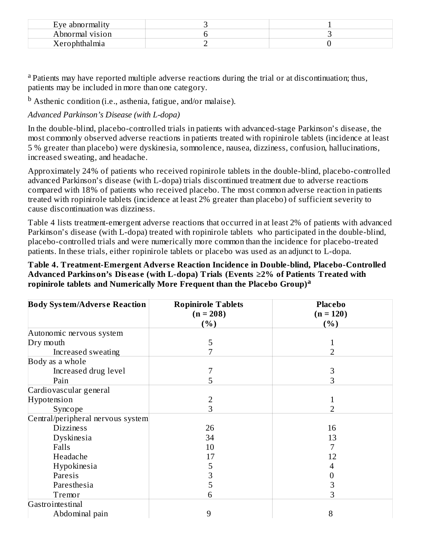| Eve abnormality |  |
|-----------------|--|
| Abnormal vision |  |
| Lerophthalmia   |  |

<sup>a</sup> Patients may have reported multiple adverse reactions during the trial or at discontinuation; thus, patients may be included in more than one category.

<sup>b</sup> Asthenic condition (i.e., asthenia, fatigue, and/or malaise).

### *Advanced Parkinson's Disease (with L-dopa)*

In the double-blind, placebo-controlled trials in patients with advanced-stage Parkinson's disease, the most commonly observed adverse reactions in patients treated with ropinirole tablets (incidence at least 5 % greater than placebo) were dyskinesia, somnolence, nausea, dizziness, confusion, hallucinations, increased sweating, and headache.

Approximately 24% of patients who received ropinirole tablets in the double-blind, placebo-controlled advanced Parkinson's disease (with L-dopa) trials discontinued treatment due to adverse reactions compared with 18% of patients who received placebo. The most common adverse reaction in patients treated with ropinirole tablets (incidence at least 2% greater than placebo) of sufficient severity to cause discontinuation was dizziness.

Table 4 lists treatment-emergent adverse reactions that occurred in at least 2% of patients with advanced Parkinson's disease (with L-dopa) treated with ropinirole tablets who participated in the double-blind, placebo-controlled trials and were numerically more common than the incidence for placebo-treated patients. In these trials, either ropinirole tablets or placebo was used as an adjunct to L-dopa.

#### **Table 4. Treatment-Emergent Advers e Reaction Incidence in Double-blind, Placebo-Controlled Advanced Parkinson's Dis eas e (with L-dopa) Trials (Events ≥2% of Patients Treated with ropinirole tablets and Numerically More Frequent than the Placebo Group) a**

| <b>Body System/Adverse Reaction</b> | <b>Ropinirole Tablets</b>  | <b>Placebo</b> |
|-------------------------------------|----------------------------|----------------|
|                                     | $(n = 208)$                | $(n = 120)$    |
|                                     | $\mathcal{C}_{\mathbf{0}}$ | ( %)           |
| Autonomic nervous system            |                            |                |
| Dry mouth                           | 5                          |                |
| Increased sweating                  | 7                          | 2              |
| Body as a whole                     |                            |                |
| Increased drug level                |                            | З              |
| Pain                                | 5                          | 3              |
| Cardiovascular general              |                            |                |
| Hypotension                         |                            |                |
| Syncope                             | 3                          | 2              |
| Central/peripheral nervous system   |                            |                |
| <b>Dizziness</b>                    | 26                         | 16             |
| Dyskinesia                          | 34                         | 13             |
| Falls                               | 10                         | 7              |
| Headache                            | 17                         | 12             |
| Hypokinesia                         | 5                          | 4              |
| Paresis                             | З                          | 0              |
| Paresthesia                         | 5                          | З              |
| Tremor                              | h                          | 3              |
| Gastrointestinal                    |                            |                |
| Abdominal pain                      | 9                          | 8              |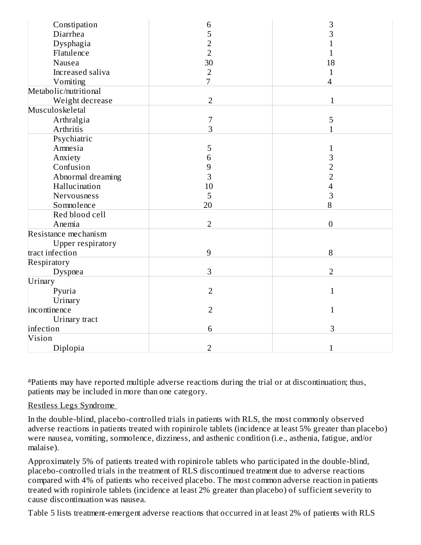| Constipation             | 6              | 3                |
|--------------------------|----------------|------------------|
| Diarrhea                 | 5              | 3                |
| Dysphagia                | 2              | 1                |
| Flatulence               | $\overline{2}$ | 1                |
| Nausea                   | 30             | 18               |
| Increased saliva         | $\overline{2}$ | $\mathbf{1}$     |
| Vomiting                 | $\overline{7}$ | $\overline{4}$   |
| Metabolic/nutritional    |                |                  |
| Weight decrease          | $\overline{2}$ | $\mathbf{1}$     |
| Musculoskeletal          |                |                  |
| Arthralgia               | $\overline{7}$ | 5                |
| Arthritis                | 3              | $\overline{1}$   |
| Psychiatric              |                |                  |
| Amnesia                  | 5              | $\mathbf{1}$     |
| Anxiety                  | 6              | 3                |
| Confusion                | 9              | $\overline{2}$   |
| Abnormal dreaming        | 3              | $\overline{2}$   |
| Hallucination            | 10             | 4                |
| Nervousness              | 5              | 3                |
| Somnolence               | 20             | 8                |
| Red blood cell           |                |                  |
| Anemia                   | $\overline{2}$ | $\boldsymbol{0}$ |
| Resistance mechanism     |                |                  |
| <b>Upper respiratory</b> |                |                  |
| tract infection          | $\overline{9}$ | 8                |
| Respiratory              |                |                  |
| Dyspnea                  | 3              | $\overline{2}$   |
| Urinary                  |                |                  |
| Pyuria                   | $\overline{2}$ | $\mathbf{1}$     |
| Urinary                  |                |                  |
| incontinence             | $\overline{2}$ | $\mathbf{1}$     |
| Urinary tract            |                |                  |
| infection                | 6              | 3                |
| Vision                   |                |                  |
| Diplopia                 | $\overline{2}$ | $\mathbf{1}$     |

apatients may have reported multiple adverse reactions during the trial or at discontinuation; thus, patients may be included in more than one category.

#### Restless Legs Syndrome

In the double-blind, placebo-controlled trials in patients with RLS, the most commonly observed adverse reactions in patients treated with ropinirole tablets (incidence at least 5% greater than placebo) were nausea, vomiting, somnolence, dizziness, and asthenic condition (i.e., asthenia, fatigue, and/or malaise).

Approximately 5% of patients treated with ropinirole tablets who participated in the double-blind, placebo-controlled trials in the treatment of RLS discontinued treatment due to adverse reactions compared with 4% of patients who received placebo. The most common adverse reaction in patients treated with ropinirole tablets (incidence at least 2% greater than placebo) of sufficient severity to cause discontinuation was nausea.

Table 5 lists treatment-emergent adverse reactions that occurred in at least 2% of patients with RLS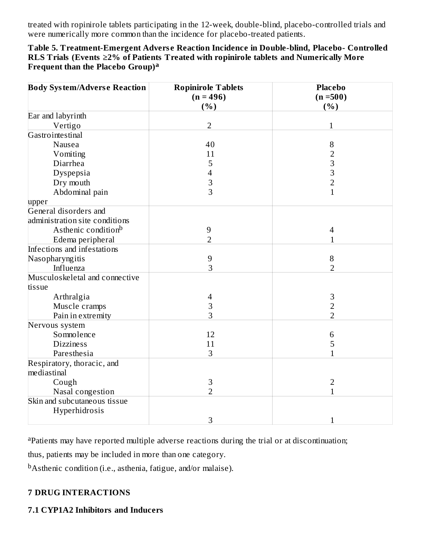treated with ropinirole tablets participating in the 12-week, double-blind, placebo-controlled trials and were numerically more common than the incidence for placebo-treated patients.

| Table 5. Treatment-Emergent Adverse Reaction Incidence in Double-blind, Placebo- Controlled   |
|-----------------------------------------------------------------------------------------------|
| RLS Trials (Events $\geq$ 2% of Patients Treated with ropinirole tablets and Numerically More |
| Frequent than the Placebo Group) <sup>a</sup>                                                 |

| <b>Body System/Adverse Reaction</b> | <b>Ropinirole Tablets</b><br>$(n = 496)$ | <b>Placebo</b><br>$(n = 500)$ |
|-------------------------------------|------------------------------------------|-------------------------------|
| Ear and labyrinth                   | (%)                                      | (%)                           |
|                                     | $\overline{2}$                           | 1                             |
| Vertigo<br>Gastrointestinal         |                                          |                               |
|                                     | 40                                       |                               |
| Nausea                              |                                          | $\, 8$                        |
| Vomiting                            | 11                                       | $\overline{2}$                |
| Diarrhea                            | 5                                        | 3                             |
| Dyspepsia                           | $\overline{4}$                           | 3                             |
| Dry mouth                           | 3                                        | $\overline{2}$                |
| Abdominal pain                      | 3                                        | $\mathbf{1}$                  |
| upper                               |                                          |                               |
| General disorders and               |                                          |                               |
| administration site conditions      |                                          |                               |
| Asthenic condition <sup>b</sup>     | $\overline{9}$                           | $\overline{\mathcal{A}}$      |
| Edema peripheral                    | $\overline{2}$                           | $\mathbf{1}$                  |
| Infections and infestations         |                                          |                               |
| Nasopharyngitis                     | $\overline{9}$                           | 8                             |
| Influenza                           | 3                                        | $\overline{2}$                |
| Musculoskeletal and connective      |                                          |                               |
| tissue                              |                                          |                               |
| Arthralgia                          | $\overline{4}$                           | $\mathbf{3}$                  |
| Muscle cramps                       | 3                                        | $\overline{2}$                |
| Pain in extremity                   | 3                                        | $\overline{2}$                |
| Nervous system                      |                                          |                               |
| Somnolence                          | 12                                       | 6                             |
| <b>Dizziness</b>                    | 11                                       | 5                             |
| Paresthesia                         | 3                                        | 1                             |
| Respiratory, thoracic, and          |                                          |                               |
| mediastinal                         |                                          |                               |
| Cough                               | 3                                        | $\overline{2}$                |
| Nasal congestion                    | $\overline{2}$                           | $\mathbf{1}$                  |
| Skin and subcutaneous tissue        |                                          |                               |
| Hyperhidrosis                       |                                          |                               |
|                                     | 3                                        | $\mathbf{1}$                  |

<sup>a</sup>Patients may have reported multiple adverse reactions during the trial or at discontinuation;

thus, patients may be included in more than one category.

<sup>b</sup>Asthenic condition (i.e., asthenia, fatigue, and/or malaise).

### **7 DRUG INTERACTIONS**

#### **7.1 CYP1A2 Inhibitors and Inducers**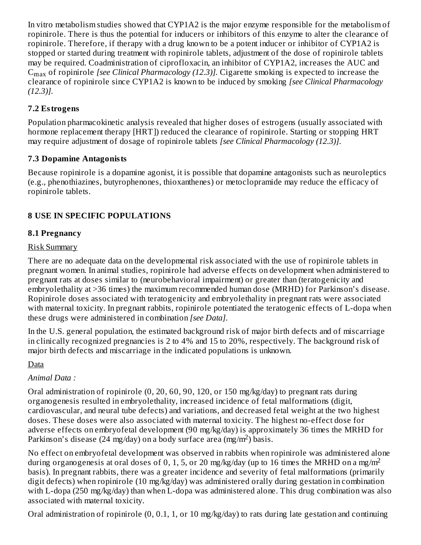In vitro metabolism studies showed that CYP1A2 is the major enzyme responsible for the metabolism of ropinirole. There is thus the potential for inducers or inhibitors of this enzyme to alter the clearance of ropinirole. Therefore, if therapy with a drug known to be a potent inducer or inhibitor of CYP1A2 is stopped or started during treatment with ropinirole tablets, adjustment of the dose of ropinirole tablets may be required. Coadministration of ciprofloxacin, an inhibitor of CYP1A2, increases the AUC and  $\rm{C_{max}}$  of ropinirole *[see Clinical Pharmacology (12.3)]. Ciga*rette smoking is expected to increase the clearance of ropinirole since CYP1A2 is known to be induced by smoking *[see Clinical Pharmacology (12.3)].*

### **7.2 Estrogens**

Population pharmacokinetic analysis revealed that higher doses of estrogens (usually associated with hormone replacement therapy [HRT]) reduced the clearance of ropinirole. Starting or stopping HRT may require adjustment of dosage of ropinirole tablets *[see Clinical Pharmacology (12.3)]*.

### **7.3 Dopamine Antagonists**

Because ropinirole is a dopamine agonist, it is possible that dopamine antagonists such as neuroleptics (e.g., phenothiazines, butyrophenones, thioxanthenes) or metoclopramide may reduce the efficacy of ropinirole tablets.

## **8 USE IN SPECIFIC POPULATIONS**

## **8.1 Pregnancy**

### Risk Summary

There are no adequate data on the developmental risk associated with the use of ropinirole tablets in pregnant women. In animal studies, ropinirole had adverse effects on development when administered to pregnant rats at doses similar to (neurobehavioral impairment) or greater than (teratogenicity and embryolethality at >36 times) the maximum recommended human dose (MRHD) for Parkinson's disease. Ropinirole doses associated with teratogenicity and embryolethality in pregnant rats were associated with maternal toxicity. In pregnant rabbits, ropinirole potentiated the teratogenic effects of L-dopa when these drugs were administered in combination *[see Data]*.

In the U.S. general population, the estimated background risk of major birth defects and of miscarriage in clinically recognized pregnancies is 2 to 4% and 15 to 20%, respectively. The background risk of major birth defects and miscarriage in the indicated populations is unknown.

## Data

## *Animal Data :*

Oral administration of ropinirole (0, 20, 60, 90, 120, or 150 mg/kg/day) to pregnant rats during organogenesis resulted in embryolethality, increased incidence of fetal malformations (digit, cardiovascular, and neural tube defects) and variations, and decreased fetal weight at the two highest doses. These doses were also associated with maternal toxicity. The highest no-effect dose for adverse effects on embryofetal development (90 mg/kg/day) is approximately 36 times the MRHD for Parkinson's disease (24 mg/day) on a body surface area  $\left(\frac{mg}{m^2}\right)$  basis.

No effect on embryofetal development was observed in rabbits when ropinirole was administered alone during organogenesis at oral doses of 0, 1, 5, or 20 mg/kg/day (up to 16 times the MRHD on a mg/m<sup>2</sup> basis). In pregnant rabbits, there was a greater incidence and severity of fetal malformations (primarily digit defects) when ropinirole (10 mg/kg/day) was administered orally during gestation in combination with L-dopa (250 mg/kg/day) than when L-dopa was administered alone. This drug combination was also associated with maternal toxicity.

Oral administration of ropinirole (0, 0.1, 1, or 10 mg/kg/day) to rats during late gestation and continuing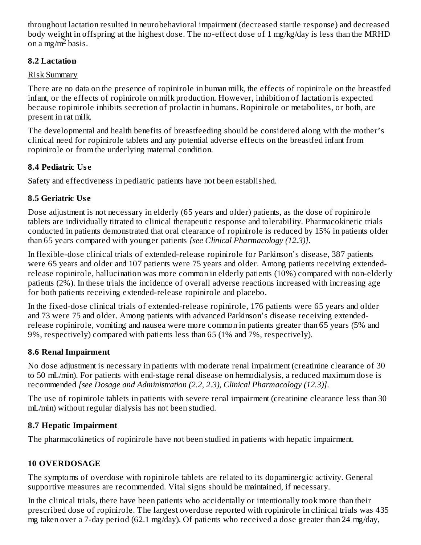throughout lactation resulted in neurobehavioral impairment (decreased startle response) and decreased body weight in offspring at the highest dose. The no-effect dose of 1 mg/kg/day is less than the MRHD on a mg/m<sup>2</sup> basis.

### **8.2 Lactation**

### Risk Summary

There are no data on the presence of ropinirole in human milk, the effects of ropinirole on the breastfed infant, or the effects of ropinirole on milk production. However, inhibition of lactation is expected because ropinirole inhibits secretion of prolactin in humans. Ropinirole or metabolites, or both, are present in rat milk.

The developmental and health benefits of breastfeeding should be considered along with the mother's clinical need for ropinirole tablets and any potential adverse effects on the breastfed infant from ropinirole or from the underlying maternal condition.

## **8.4 Pediatric Us e**

Safety and effectiveness in pediatric patients have not been established.

## **8.5 Geriatric Us e**

Dose adjustment is not necessary in elderly (65 years and older) patients, as the dose of ropinirole tablets are individually titrated to clinical therapeutic response and tolerability*.* Pharmacokinetic trials conducted in patients demonstrated that oral clearance of ropinirole is reduced by 15% in patients older than 65 years compared with younger patients *[see Clinical Pharmacology (12.3)]*.

In flexible-dose clinical trials of extended-release ropinirole for Parkinson's disease, 387 patients were 65 years and older and 107 patients were 75 years and older. Among patients receiving extendedrelease ropinirole, hallucination was more common in elderly patients (10%) compared with non-elderly patients (2%). In these trials the incidence of overall adverse reactions increased with increasing age for both patients receiving extended-release ropinirole and placebo.

In the fixed-dose clinical trials of extended-release ropinirole, 176 patients were 65 years and older and 73 were 75 and older. Among patients with advanced Parkinson's disease receiving extendedrelease ropinirole, vomiting and nausea were more common in patients greater than 65 years (5% and 9%, respectively) compared with patients less than 65 (1% and 7%, respectively).

### **8.6 Renal Impairment**

No dose adjustment is necessary in patients with moderate renal impairment (creatinine clearance of 30 to 50 mL/min). For patients with end-stage renal disease on hemodialysis, a reduced maximum dose is recommended *[see Dosage and Administration (2.2, 2.3), Clinical Pharmacology (12.3)]*.

The use of ropinirole tablets in patients with severe renal impairment (creatinine clearance less than 30 mL/min) without regular dialysis has not been studied.

## **8.7 Hepatic Impairment**

The pharmacokinetics of ropinirole have not been studied in patients with hepatic impairment.

## **10 OVERDOSAGE**

The symptoms of overdose with ropinirole tablets are related to its dopaminergic activity. General supportive measures are recommended. Vital signs should be maintained, if necessary.

In the clinical trials, there have been patients who accidentally or intentionally took more than their prescribed dose of ropinirole. The largest overdose reported with ropinirole in clinical trials was 435 mg taken over a 7-day period (62.1 mg/day). Of patients who received a dose greater than 24 mg/day,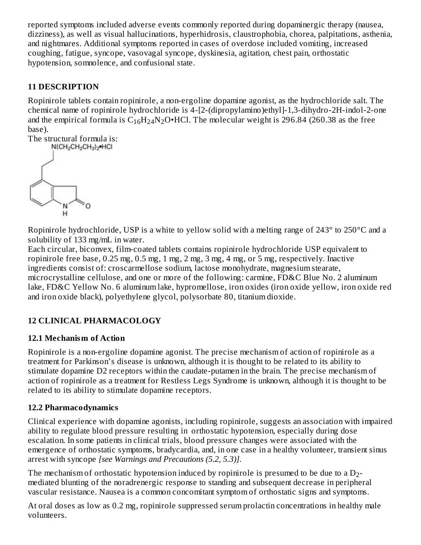reported symptoms included adverse events commonly reported during dopaminergic therapy (nausea, dizziness), as well as visual hallucinations, hyperhidrosis, claustrophobia, chorea, palpitations, asthenia, and nightmares. Additional symptoms reported in cases of overdose included vomiting, increased coughing, fatigue, syncope, vasovagal syncope, dyskinesia, agitation, chest pain, orthostatic hypotension, somnolence, and confusional state.

## **11 DESCRIPTION**

Ropinirole tablets contain ropinirole, a non-ergoline dopamine agonist, as the hydrochloride salt. The chemical name of ropinirole hydrochloride is 4-[2-(dipropylamino)ethyl]-1,3-dihydro-2H-indol-2-one and the empirical formula is  $\rm{C_{16}H_{24}N_{2}O\bullet}$ HCl. The molecular weight is 296.84 (260.38 as the free base).

The structural formula is:<br> $N(CH_2CH_2CH_3)_2 HCl$ 



Ropinirole hydrochloride, USP is a white to yellow solid with a melting range of 243° to 250°C and a solubility of 133 mg/mL in water.

Each circular, biconvex, film-coated tablets contains ropinirole hydrochloride USP equivalent to ropinirole free base, 0.25 mg, 0.5 mg, 1 mg, 2 mg, 3 mg, 4 mg, or 5 mg, respectively. Inactive ingredients consist of: croscarmellose sodium, lactose monohydrate, magnesium stearate, microcrystalline cellulose, and one or more of the following: carmine, FD&C Blue No. 2 aluminum lake, FD&C Yellow No. 6 aluminum lake, hypromellose, iron oxides (iron oxide yellow, iron oxide red and iron oxide black), polyethylene glycol, polysorbate 80, titanium dioxide.

## **12 CLINICAL PHARMACOLOGY**

### **12.1 Mechanism of Action**

Ropinirole is a non-ergoline dopamine agonist. The precise mechanism of action of ropinirole as a treatment for Parkinson's disease is unknown, although it is thought to be related to its ability to stimulate dopamine D2 receptors within the caudate-putamen in the brain. The precise mechanism of action of ropinirole as a treatment for Restless Legs Syndrome is unknown, although it is thought to be related to its ability to stimulate dopamine receptors.

### **12.2 Pharmacodynamics**

Clinical experience with dopamine agonists, including ropinirole, suggests an association with impaired ability to regulate blood pressure resulting in orthostatic hypotension, especially during dose escalation. In some patients in clinical trials, blood pressure changes were associated with the emergence of orthostatic symptoms, bradycardia, and, in one case in a healthy volunteer, transient sinus arrest with syncope *[see Warnings and Precautions (5.2, 5.3)]*.

The mechanism of orthostatic hypotension induced by ropinirole is presumed to be due to a  $\mathrm{D}_2\text{-}$ mediated blunting of the noradrenergic response to standing and subsequent decrease in peripheral vascular resistance. Nausea is a common concomitant symptom of orthostatic signs and symptoms.

At oral doses as low as 0.2 mg, ropinirole suppressed serum prolactin concentrations in healthy male volunteers.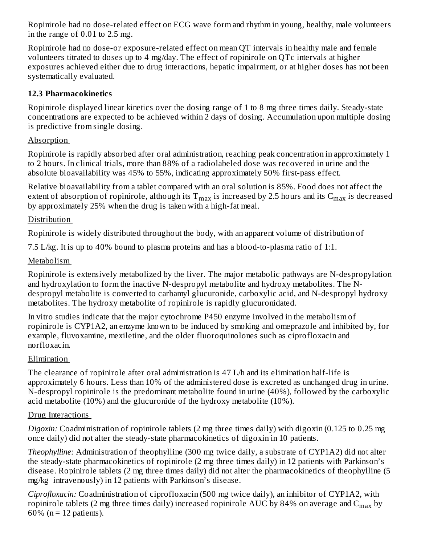Ropinirole had no dose-related effect on ECG wave form and rhythm in young, healthy, male volunteers in the range of 0.01 to 2.5 mg.

Ropinirole had no dose-or exposure-related effect on mean QT intervals in healthy male and female volunteers titrated to doses up to 4 mg/day. The effect of ropinirole on QTc intervals at higher exposures achieved either due to drug interactions, hepatic impairment, or at higher doses has not been systematically evaluated.

#### **12.3 Pharmacokinetics**

Ropinirole displayed linear kinetics over the dosing range of 1 to 8 mg three times daily. Steady-state concentrations are expected to be achieved within 2 days of dosing. Accumulation upon multiple dosing is predictive from single dosing.

### Absorption

Ropinirole is rapidly absorbed after oral administration, reaching peak concentration in approximately 1 to 2 hours. In clinical trials, more than 88% of a radiolabeled dose was recovered in urine and the absolute bioavailability was 45% to 55%, indicating approximately 50% first-pass effect.

Relative bioavailability from a tablet compared with an oral solution is 85%. Food does not affect the extent of absorption of ropinirole, although its  $\rm T_{max}$  is increased by 2.5 hours and its  $\rm C_{max}$  is decreased by approximately 25% when the drug is taken with a high-fat meal.

### **Distribution**

Ropinirole is widely distributed throughout the body, with an apparent volume of distribution of

7.5 L/kg. It is up to 40% bound to plasma proteins and has a blood-to-plasma ratio of 1:1.

### Metabolism

Ropinirole is extensively metabolized by the liver. The major metabolic pathways are N-despropylation and hydroxylation to form the inactive N-despropyl metabolite and hydroxy metabolites. The Ndespropyl metabolite is converted to carbamyl glucuronide, carboxylic acid, and N-despropyl hydroxy metabolites. The hydroxy metabolite of ropinirole is rapidly glucuronidated.

In vitro studies indicate that the major cytochrome P450 enzyme involved in the metabolism of ropinirole is CYP1A2, an enzyme known to be induced by smoking and omeprazole and inhibited by, for example, fluvoxamine, mexiletine, and the older fluoroquinolones such as ciprofloxacin and norfloxacin.

### Elimination

The clearance of ropinirole after oral administration is 47 L/h and its elimination half-life is approximately 6 hours. Less than 10% of the administered dose is excreted as unchanged drug in urine. N-despropyl ropinirole is the predominant metabolite found in urine (40%), followed by the carboxylic acid metabolite (10%) and the glucuronide of the hydroxy metabolite (10%).

#### Drug Interactions

*Digoxin:* Coadministration of ropinirole tablets (2 mg three times daily) with digoxin (0.125 to 0.25 mg once daily) did not alter the steady-state pharmacokinetics of digoxin in 10 patients.

*Theophylline:* Administration of theophylline (300 mg twice daily, a substrate of CYP1A2) did not alter the steady-state pharmacokinetics of ropinirole (2 mg three times daily) in 12 patients with Parkinson's disease. Ropinirole tablets (2 mg three times daily) did not alter the pharmacokinetics of theophylline (5 mg/kg intravenously) in 12 patients with Parkinson's disease.

*Ciprofloxacin:* Coadministration of ciprofloxacin (500 mg twice daily), an inhibitor of CYP1A2, with ropinirole tablets (2 mg three times daily) increased ropinirole AUC by 84% on average and  $\rm{C_{max}}$  by 60% ( $n = 12$  patients).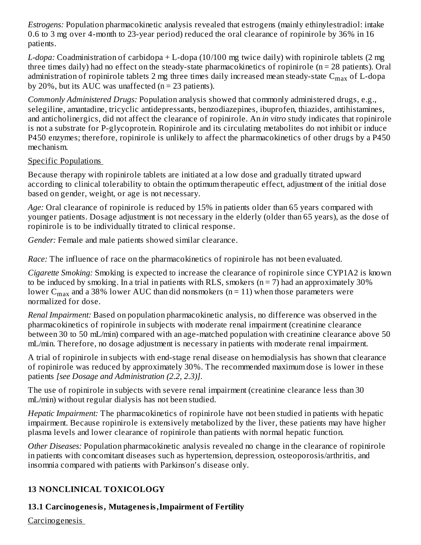*Estrogens:* Population pharmacokinetic analysis revealed that estrogens (mainly ethinylestradiol: intake 0.6 to 3 mg over 4-month to 23-year period) reduced the oral clearance of ropinirole by 36% in 16 patients.

*L-dopa:* Coadministration of carbidopa + L-dopa (10/100 mg twice daily) with ropinirole tablets (2 mg three times daily) had no effect on the steady-state pharmacokinetics of ropinirole (n = 28 patients). Oral administration of ropinirole tablets 2 mg three times daily increased mean steady-state  $\rm C_{max}$  of L-dopa by 20%, but its AUC was unaffected  $(n = 23$  patients).

*Commonly Administered Drugs:* Population analysis showed that commonly administered drugs, e.g., selegiline, amantadine, tricyclic antidepressants, benzodiazepines, ibuprofen, thiazides, antihistamines, and anticholinergics, did not affect the clearance of ropinirole. An *in vitro* study indicates that ropinirole is not a substrate for P-glycoprotein. Ropinirole and its circulating metabolites do not inhibit or induce P450 enzymes; therefore, ropinirole is unlikely to affect the pharmacokinetics of other drugs by a P450 mechanism.

### Specific Populations

Because therapy with ropinirole tablets are initiated at a low dose and gradually titrated upward according to clinical tolerability to obtain the optimum therapeutic effect, adjustment of the initial dose based on gender, weight, or age is not necessary.

*Age:* Oral clearance of ropinirole is reduced by 15% in patients older than 65 years compared with younger patients. Dosage adjustment is not necessary in the elderly (older than 65 years), as the dose of ropinirole is to be individually titrated to clinical response.

*Gender:* Female and male patients showed similar clearance.

*Race:* The influence of race on the pharmacokinetics of ropinirole has not been evaluated.

*Cigarette Smoking:* Smoking is expected to increase the clearance of ropinirole since CYP1A2 is known to be induced by smoking. In a trial in patients with RLS, smokers  $(n = 7)$  had an approximately 30% lower C $_{\rm max}$  and a 38% lower AUC than did nonsmokers (n = 11) when those parameters were normalized for dose.

*Renal Impairment:* Based on population pharmacokinetic analysis, no difference was observed in the pharmacokinetics of ropinirole in subjects with moderate renal impairment (creatinine clearance between 30 to 50 mL/min) compared with an age-matched population with creatinine clearance above 50 mL/min. Therefore, no dosage adjustment is necessary in patients with moderate renal impairment.

A trial of ropinirole in subjects with end-stage renal disease on hemodialysis has shown that clearance of ropinirole was reduced by approximately 30%. The recommended maximum dose is lower in these patients *[see Dosage and Administration (2.2, 2.3)]*.

The use of ropinirole in subjects with severe renal impairment (creatinine clearance less than 30 mL/min) without regular dialysis has not been studied.

*Hepatic Impairment:* The pharmacokinetics of ropinirole have not been studied in patients with hepatic impairment. Because ropinirole is extensively metabolized by the liver, these patients may have higher plasma levels and lower clearance of ropinirole than patients with normal hepatic function.

*Other Diseases:* Population pharmacokinetic analysis revealed no change in the clearance of ropinirole in patients with concomitant diseases such as hypertension, depression, osteoporosis/arthritis, and insomnia compared with patients with Parkinson's disease only.

## **13 NONCLINICAL TOXICOLOGY**

## **13.1 Carcinogenesis, Mutagenesis,Impairment of Fertility**

Carcinogenesis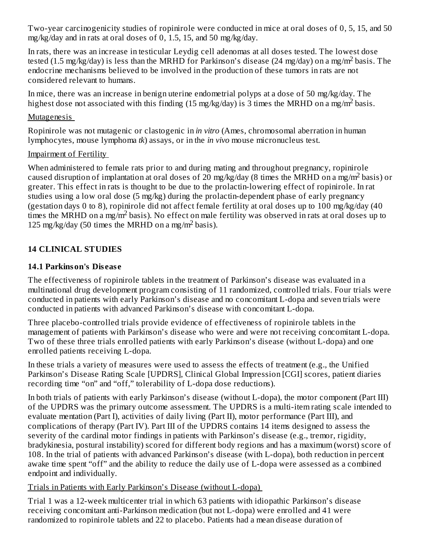Two-year carcinogenicity studies of ropinirole were conducted in mice at oral doses of 0, 5, 15, and 50 mg/kg/day and in rats at oral doses of 0, 1.5, 15, and 50 mg/kg/day.

In rats, there was an increase in testicular Leydig cell adenomas at all doses tested. The lowest dose tested (1.5 mg/kg/day) is less than the MRHD for Parkinson's disease (24 mg/day) on a mg/m<sup>2</sup> basis. The endocrine mechanisms believed to be involved in the production of these tumors in rats are not considered relevant to humans.

In mice, there was an increase in benign uterine endometrial polyps at a dose of 50 mg/kg/day. The highest dose not associated with this finding  $(15 \text{ mg/kg/day})$  is 3 times the MRHD on a mg/m<sup>2</sup> basis.

#### Mutagenesis

Ropinirole was not mutagenic or clastogenic in *in vitro* (Ames, chromosomal aberration in human lymphocytes, mouse lymphoma *tk*) assays, or in the *in vivo* mouse micronucleus test.

### Impairment of Fertility

When administered to female rats prior to and during mating and throughout pregnancy, ropinirole caused disruption of implantation at oral doses of 20 mg/kg/day (8 times the MRHD on a mg/m<sup>2</sup> basis) or greater. This effect in rats is thought to be due to the prolactin-lowering effect of ropinirole. In rat studies using a low oral dose (5 mg/kg) during the prolactin-dependent phase of early pregnancy (gestation days 0 to 8), ropinirole did not affect female fertility at oral doses up to 100 mg/kg/day (40 times the MRHD on a mg/m<sup>2</sup> basis). No effect on male fertility was observed in rats at oral doses up to 125 mg/kg/day (50 times the MRHD on a mg/m<sup>2</sup> basis).

## **14 CLINICAL STUDIES**

## **14.1 Parkinson's Dis eas e**

The effectiveness of ropinirole tablets in the treatment of Parkinson's disease was evaluated in a multinational drug development program consisting of 11 randomized, controlled trials. Four trials were conducted in patients with early Parkinson's disease and no concomitant L-dopa and seven trials were conducted in patients with advanced Parkinson's disease with concomitant L-dopa.

Three placebo-controlled trials provide evidence of effectiveness of ropinirole tablets in the management of patients with Parkinson's disease who were and were not receiving concomitant L-dopa. Two of these three trials enrolled patients with early Parkinson's disease (without L-dopa) and one enrolled patients receiving L-dopa.

In these trials a variety of measures were used to assess the effects of treatment (e.g., the Unified Parkinson's Disease Rating Scale [UPDRS], Clinical Global Impression [CGI] scores, patient diaries recording time "on" and "off," tolerability of L-dopa dose reductions).

In both trials of patients with early Parkinson's disease (without L-dopa), the motor component (Part III) of the UPDRS was the primary outcome assessment. The UPDRS is a multi-item rating scale intended to evaluate mentation (Part I), activities of daily living (Part II), motor performance (Part III), and complications of therapy (Part IV). Part III of the UPDRS contains 14 items designed to assess the severity of the cardinal motor findings in patients with Parkinson's disease (e.g., tremor, rigidity, bradykinesia, postural instability) scored for different body regions and has a maximum (worst) score of 108. In the trial of patients with advanced Parkinson's disease (with L-dopa), both reduction in percent awake time spent "off" and the ability to reduce the daily use of L-dopa were assessed as a combined endpoint and individually.

Trials in Patients with Early Parkinson's Disease (without L-dopa)

Trial 1 was a 12-week multicenter trial in which 63 patients with idiopathic Parkinson's disease receiving concomitant anti-Parkinson medication (but not L-dopa) were enrolled and 41 were randomized to ropinirole tablets and 22 to placebo. Patients had a mean disease duration of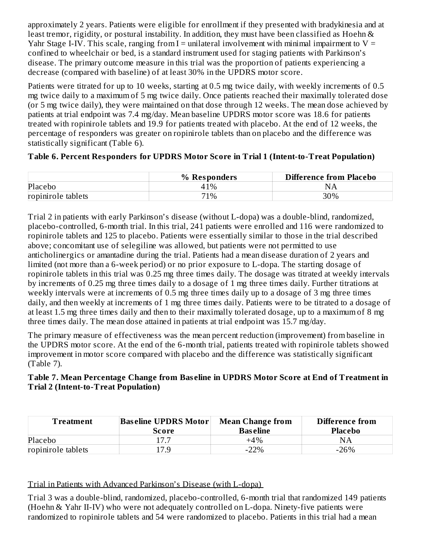approximately 2 years. Patients were eligible for enrollment if they presented with bradykinesia and at least tremor, rigidity, or postural instability. In addition, they must have been classified as Hoehn & Yahr Stage I-IV. This scale, ranging from  $I =$  unilateral involvement with minimal impairment to  $V =$ confined to wheelchair or bed, is a standard instrument used for staging patients with Parkinson's disease. The primary outcome measure in this trial was the proportion of patients experiencing a decrease (compared with baseline) of at least 30% in the UPDRS motor score.

Patients were titrated for up to 10 weeks, starting at 0.5 mg twice daily, with weekly increments of 0.5 mg twice daily to a maximum of 5 mg twice daily. Once patients reached their maximally tolerated dose (or 5 mg twice daily), they were maintained on that dose through 12 weeks. The mean dose achieved by patients at trial endpoint was 7.4 mg/day. Mean baseline UPDRS motor score was 18.6 for patients treated with ropinirole tablets and 19.9 for patients treated with placebo. At the end of 12 weeks, the percentage of responders was greater on ropinirole tablets than on placebo and the difference was statistically significant (Table 6).

### **Table 6. Percent Responders for UPDRS Motor Score in Trial 1 (Intent-to-Treat Population)**

|                    | % Responders | <b>Difference from Placebo</b> |
|--------------------|--------------|--------------------------------|
| Placebo            | 41%          | N                              |
| ropinirole tablets | 71%          | 30%                            |

Trial 2 in patients with early Parkinson's disease (without L-dopa) was a double-blind, randomized, placebo-controlled, 6-month trial. In this trial, 241 patients were enrolled and 116 were randomized to ropinirole tablets and 125 to placebo. Patients were essentially similar to those in the trial described above; concomitant use of selegiline was allowed, but patients were not permitted to use anticholinergics or amantadine during the trial. Patients had a mean disease duration of 2 years and limited (not more than a 6-week period) or no prior exposure to L-dopa. The starting dosage of ropinirole tablets in this trial was 0.25 mg three times daily. The dosage was titrated at weekly intervals by increments of 0.25 mg three times daily to a dosage of 1 mg three times daily. Further titrations at weekly intervals were at increments of 0.5 mg three times daily up to a dosage of 3 mg three times daily, and then weekly at increments of 1 mg three times daily. Patients were to be titrated to a dosage of at least 1.5 mg three times daily and then to their maximally tolerated dosage, up to a maximum of 8 mg three times daily. The mean dose attained in patients at trial endpoint was 15.7 mg/day.

The primary measure of effectiveness was the mean percent reduction (improvement) from baseline in the UPDRS motor score. At the end of the 6-month trial, patients treated with ropinirole tablets showed improvement in motor score compared with placebo and the difference was statistically significant (Table 7).

#### **Table 7. Mean Percentage Change from Bas eline in UPDRS Motor Score at End of Treatment in Trial 2 (Intent-to-Treat Population)**

| Treatment          | <b>Baseline UPDRS Motor</b><br>Score | <b>Mean Change from</b><br><b>Baseline</b> | <b>Difference from</b><br><b>Placebo</b> |
|--------------------|--------------------------------------|--------------------------------------------|------------------------------------------|
|                    |                                      |                                            |                                          |
| Placebo            | 17 7                                 | $+4\%$                                     | <b>NA</b>                                |
| ropinirole tablets | 17.9                                 | $-22%$                                     | $-26\%$                                  |

Trial in Patients with Advanced Parkinson's Disease (with L-dopa)

Trial 3 was a double-blind, randomized, placebo-controlled, 6-month trial that randomized 149 patients (Hoehn & Yahr II-IV) who were not adequately controlled on L-dopa. Ninety-five patients were randomized to ropinirole tablets and 54 were randomized to placebo. Patients in this trial had a mean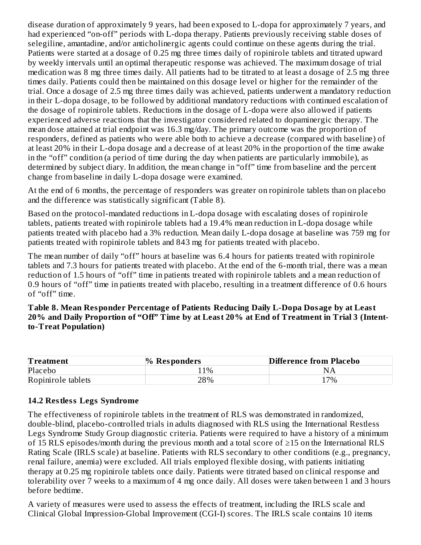disease duration of approximately 9 years, had been exposed to L-dopa for approximately 7 years, and had experienced "on-off" periods with L-dopa therapy. Patients previously receiving stable doses of selegiline, amantadine, and/or anticholinergic agents could continue on these agents during the trial. Patients were started at a dosage of 0.25 mg three times daily of ropinirole tablets and titrated upward by weekly intervals until an optimal therapeutic response was achieved. The maximum dosage of trial medication was 8 mg three times daily. All patients had to be titrated to at least a dosage of 2.5 mg three times daily. Patients could then be maintained on this dosage level or higher for the remainder of the trial. Once a dosage of 2.5 mg three times daily was achieved, patients underwent a mandatory reduction in their L-dopa dosage, to be followed by additional mandatory reductions with continued escalation of the dosage of ropinirole tablets. Reductions in the dosage of L-dopa were also allowed if patients experienced adverse reactions that the investigator considered related to dopaminergic therapy. The mean dose attained at trial endpoint was 16.3 mg/day. The primary outcome was the proportion of responders, defined as patients who were able both to achieve a decrease (compared with baseline) of at least 20% in their L-dopa dosage and a decrease of at least 20% in the proportion of the time awake in the "off" condition (a period of time during the day when patients are particularly immobile), as determined by subject diary. In addition, the mean change in "off" time from baseline and the percent change from baseline in daily L-dopa dosage were examined.

At the end of 6 months, the percentage of responders was greater on ropinirole tablets than on placebo and the difference was statistically significant (Table 8).

Based on the protocol-mandated reductions in L-dopa dosage with escalating doses of ropinirole tablets, patients treated with ropinirole tablets had a 19.4% mean reduction in L-dopa dosage while patients treated with placebo had a 3% reduction. Mean daily L-dopa dosage at baseline was 759 mg for patients treated with ropinirole tablets and 843 mg for patients treated with placebo.

The mean number of daily "off" hours at baseline was 6.4 hours for patients treated with ropinirole tablets and 7.3 hours for patients treated with placebo. At the end of the 6-month trial, there was a mean reduction of 1.5 hours of "off" time in patients treated with ropinirole tablets and a mean reduction of 0.9 hours of "off" time in patients treated with placebo, resulting in a treatment difference of 0.6 hours of "off" time.

**Table 8. Mean Responder Percentage of Patients Reducing Daily L-Dopa Dosage by at Least** 20% and Daily Proportion of "Off" Time by at Least 20% at End of Treatment in Trial 3 (Intent**to-Treat Population)**

| <b>Treatment</b>   | $\%$ Responders | <b>Difference from Placebo</b> |
|--------------------|-----------------|--------------------------------|
| Placebo            | $1\%$           | NΑ                             |
| Ropinirole tablets | 28%             | 17%                            |

### **14.2 Restless Legs Syndrome**

The effectiveness of ropinirole tablets in the treatment of RLS was demonstrated in randomized, double-blind, placebo-controlled trials in adults diagnosed with RLS using the International Restless Legs Syndrome Study Group diagnostic criteria. Patients were required to have a history of a minimum of 15 RLS episodes/month during the previous month and a total score of ≥15 on the International RLS Rating Scale (IRLS scale) at baseline. Patients with RLS secondary to other conditions (e.g., pregnancy, renal failure, anemia) were excluded. All trials employed flexible dosing, with patients initiating therapy at 0.25 mg ropinirole tablets once daily. Patients were titrated based on clinical response and tolerability over 7 weeks to a maximum of 4 mg once daily. All doses were taken between 1 and 3 hours before bedtime.

A variety of measures were used to assess the effects of treatment, including the IRLS scale and Clinical Global Impression-Global Improvement (CGI-I) scores. The IRLS scale contains 10 items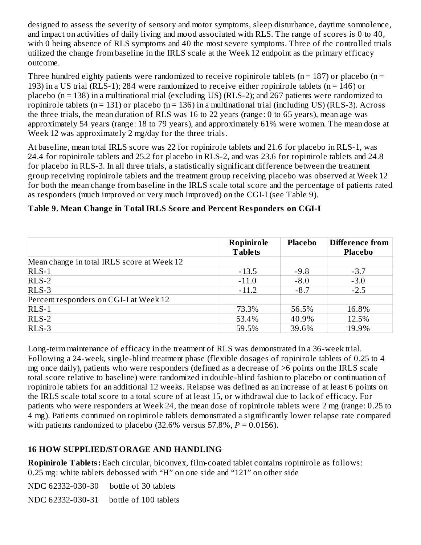designed to assess the severity of sensory and motor symptoms, sleep disturbance, daytime somnolence, and impact on activities of daily living and mood associated with RLS. The range of scores is 0 to 40, with 0 being absence of RLS symptoms and 40 the most severe symptoms. Three of the controlled trials utilized the change from baseline in the IRLS scale at the Week 12 endpoint as the primary efficacy outcome.

Three hundred eighty patients were randomized to receive ropinirole tablets ( $n = 187$ ) or placebo ( $n =$ 193) in a US trial (RLS-1); 284 were randomized to receive either ropinirole tablets (n = 146) or placebo (n = 138) in a multinational trial (excluding US) (RLS-2); and 267 patients were randomized to ropinirole tablets ( $n = 131$ ) or placebo ( $n = 136$ ) in a multinational trial (including US) (RLS-3). Across the three trials, the mean duration of RLS was 16 to 22 years (range: 0 to 65 years), mean age was approximately 54 years (range: 18 to 79 years), and approximately 61% were women. The mean dose at Week 12 was approximately 2 mg/day for the three trials.

At baseline, mean total IRLS score was 22 for ropinirole tablets and 21.6 for placebo in RLS-1, was 24.4 for ropinirole tablets and 25.2 for placebo in RLS-2, and was 23.6 for ropinirole tablets and 24.8 for placebo in RLS-3. In all three trials, a statistically significant difference between the treatment group receiving ropinirole tablets and the treatment group receiving placebo was observed at Week 12 for both the mean change from baseline in the IRLS scale total score and the percentage of patients rated as responders (much improved or very much improved) on the CGI-I (see Table 9).

|                                            | Ropinirole<br><b>Tablets</b> | Placebo | <b>Difference from</b><br><b>Placebo</b> |  |
|--------------------------------------------|------------------------------|---------|------------------------------------------|--|
| Mean change in total IRLS score at Week 12 |                              |         |                                          |  |
| $RLS-1$                                    | $-13.5$                      | $-9.8$  | $-3.7$                                   |  |
| $RLS-2$                                    | $-11.0$                      | $-8.0$  | $-3.0$                                   |  |
| $RLS-3$                                    | $-11.2$                      | $-8.7$  | $-2.5$                                   |  |
| Percent responders on CGI-I at Week 12     |                              |         |                                          |  |
| $RLS-1$                                    | 73.3%                        | 56.5%   | 16.8%                                    |  |
| $RLS-2$                                    | 53.4%                        | 40.9%   | 12.5%                                    |  |
| $RLS-3$                                    | 59.5%                        | 39.6%   | 19.9%                                    |  |

**Table 9. Mean Change in Total IRLS Score and Percent Responders on CGI-I**

Long-term maintenance of efficacy in the treatment of RLS was demonstrated in a 36-week trial. Following a 24-week, single-blind treatment phase (flexible dosages of ropinirole tablets of 0.25 to 4 mg once daily), patients who were responders (defined as a decrease of >6 points on the IRLS scale total score relative to baseline) were randomized in double-blind fashion to placebo or continuation of ropinirole tablets for an additional 12 weeks. Relapse was defined as an increase of at least 6 points on the IRLS scale total score to a total score of at least 15, or withdrawal due to lack of efficacy. For patients who were responders at Week 24, the mean dose of ropinirole tablets were 2 mg (range: 0.25 to 4 mg). Patients continued on ropinirole tablets demonstrated a significantly lower relapse rate compared with patients randomized to placebo  $(32.6\% \text{ versus } 57.8\%, P = 0.0156)$ .

## **16 HOW SUPPLIED/STORAGE AND HANDLING**

**Ropinirole Tablets:** Each circular, biconvex, film-coated tablet contains ropinirole as follows: 0.25 mg: white tablets debossed with "H" on one side and "121" on other side

NDC 62332-030-30 bottle of 30 tablets

NDC 62332-030-31 bottle of 100 tablets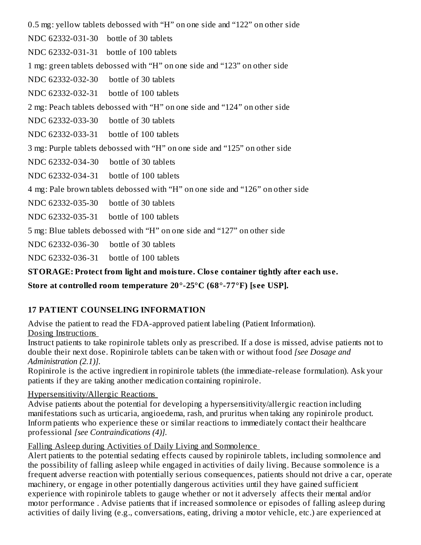0.5 mg: yellow tablets debossed with "H" on one side and "122" on other side NDC 62332-031-30 bottle of 30 tablets NDC 62332-031-31 bottle of 100 tablets 1 mg: green tablets debossed with "H" on one side and "123" on other side NDC 62332-032-30 bottle of 30 tablets NDC 62332-032-31 bottle of 100 tablets 2 mg: Peach tablets debossed with "H" on one side and "124" on other side NDC 62332-033-30 bottle of 30 tablets NDC 62332-033-31 bottle of 100 tablets 3 mg: Purple tablets debossed with "H" on one side and "125" on other side NDC 62332-034-30 bottle of 30 tablets NDC 62332-034-31 bottle of 100 tablets 4 mg: Pale brown tablets debossed with "H" on one side and "126" on other side NDC 62332-035-30 bottle of 30 tablets NDC 62332-035-31 bottle of 100 tablets 5 mg: Blue tablets debossed with "H" on one side and "127" on other side NDC 62332-036-30 bottle of 30 tablets NDC 62332-036-31 bottle of 100 tablets

**STORAGE: Protect from light and moisture. Clos e container tightly after each us e.**

## **Store at controlled room temperature 20°-25°C (68°-77°F) [s ee USP].**

### **17 PATIENT COUNSELING INFORMATION**

Advise the patient to read the FDA-approved patient labeling (Patient Information). Dosing Instructions

Instruct patients to take ropinirole tablets only as prescribed. If a dose is missed, advise patients not to double their next dose. Ropinirole tablets can be taken with or without food *[see Dosage and Administration (2.1)].*

Ropinirole is the active ingredient in ropinirole tablets (the immediate-release formulation). Ask your patients if they are taking another medication containing ropinirole.

#### Hypersensitivity/Allergic Reactions

Advise patients about the potential for developing a hypersensitivity/allergic reaction including manifestations such as urticaria, angioedema, rash, and pruritus when taking any ropinirole product. Inform patients who experience these or similar reactions to immediately contact their healthcare professional *[see Contraindications (4)].*

### Falling Asleep during Activities of Daily Living and Somnolence

Alert patients to the potential sedating effects caused by ropinirole tablets, including somnolence and the possibility of falling asleep while engaged in activities of daily living. Because somnolence is a frequent adverse reaction with potentially serious consequences, patients should not drive a car, operate machinery, or engage in other potentially dangerous activities until they have gained sufficient experience with ropinirole tablets to gauge whether or not it adversely affects their mental and/or motor performance . Advise patients that if increased somnolence or episodes of falling asleep during activities of daily living (e.g., conversations, eating, driving a motor vehicle, etc.) are experienced at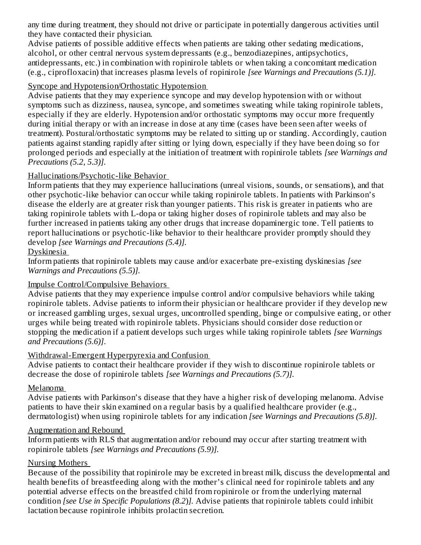any time during treatment, they should not drive or participate in potentially dangerous activities until they have contacted their physician.

Advise patients of possible additive effects when patients are taking other sedating medications, alcohol, or other central nervous system depressants (e.g., benzodiazepines, antipsychotics, antidepressants, etc.) in combination with ropinirole tablets or when taking a concomitant medication (e.g., ciprofloxacin) that increases plasma levels of ropinirole *[see Warnings and Precautions (5.1)].*

#### Syncope and Hypotension/Orthostatic Hypotension

Advise patients that they may experience syncope and may develop hypotension with or without symptoms such as dizziness, nausea, syncope, and sometimes sweating while taking ropinirole tablets, especially if they are elderly. Hypotension and/or orthostatic symptoms may occur more frequently during initial therapy or with an increase in dose at any time (cases have been seen after weeks of treatment). Postural/orthostatic symptoms may be related to sitting up or standing. Accordingly, caution patients against standing rapidly after sitting or lying down, especially if they have been doing so for prolonged periods and especially at the initiation of treatment with ropinirole tablets *[see Warnings and Precautions (5.2, 5.3)].*

#### Hallucinations/Psychotic-like Behavior

Inform patients that they may experience hallucinations (unreal visions, sounds, or sensations), and that other psychotic-like behavior can occur while taking ropinirole tablets. In patients with Parkinson's disease the elderly are at greater risk than younger patients. This risk is greater in patients who are taking ropinirole tablets with L-dopa or taking higher doses of ropinirole tablets and may also be further increased in patients taking any other drugs that increase dopaminergic tone. Tell patients to report hallucinations or psychotic-like behavior to their healthcare provider promptly should they develop *[see Warnings and Precautions (5.4)].*

#### Dyskinesia

Inform patients that ropinirole tablets may cause and/or exacerbate pre-existing dyskinesias *[see Warnings and Precautions (5.5)].*

#### Impulse Control/Compulsive Behaviors

Advise patients that they may experience impulse control and/or compulsive behaviors while taking ropinirole tablets. Advise patients to inform their physician or healthcare provider if they develop new or increased gambling urges, sexual urges, uncontrolled spending, binge or compulsive eating, or other urges while being treated with ropinirole tablets. Physicians should consider dose reduction or stopping the medication if a patient develops such urges while taking ropinirole tablets *[see Warnings and Precautions (5.6)]*.

#### Withdrawal-Emergent Hyperpyrexia and Confusion

Advise patients to contact their healthcare provider if they wish to discontinue ropinirole tablets or decrease the dose of ropinirole tablets *[see Warnings and Precautions (5.7)].*

#### Melanoma

Advise patients with Parkinson's disease that they have a higher risk of developing melanoma. Advise patients to have their skin examined on a regular basis by a qualified healthcare provider (e.g., dermatologist) when using ropinirole tablets for any indication *[see Warnings and Precautions (5.8)].*

#### Augmentation and Rebound

Inform patients with RLS that augmentation and/or rebound may occur after starting treatment with ropinirole tablets *[see Warnings and Precautions (5.9)].*

#### Nursing Mothers

Because of the possibility that ropinirole may be excreted in breast milk, discuss the developmental and health benefits of breastfeeding along with the mother's clinical need for ropinirole tablets and any potential adverse effects on the breastfed child from ropinirole or from the underlying maternal condition *[see Use in Specific Populations (8.2*)*].* Advise patients that ropinirole tablets could inhibit lactation because ropinirole inhibits prolactin secretion.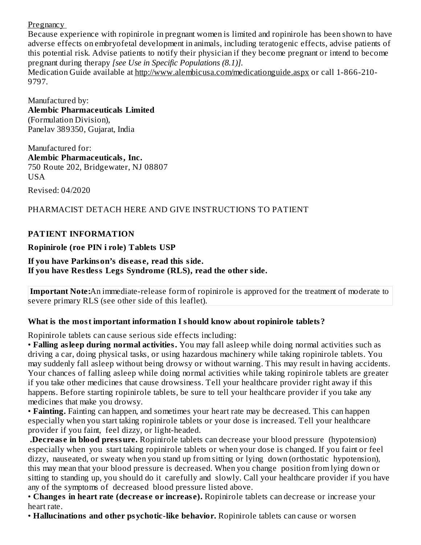Pregnancy

Because experience with ropinirole in pregnant women is limited and ropinirole has been shown to have adverse effects on embryofetal development in animals, including teratogenic effects, advise patients of this potential risk. Advise patients to notify their physician if they become pregnant or intend to become pregnant during therapy *[see Use in Specific Populations (8.1)].*

Medication Guide available at http://www.alembicusa.com/medicationguide.aspx or call 1-866-210- 9797.

Manufactured by: **Alembic Pharmaceuticals Limited** (Formulation Division), Panelav 389350, Gujarat, India

Manufactured for: **Alembic Pharmaceuticals, Inc.** 750 Route 202, Bridgewater, NJ 08807 **USA** Revised: 04/2020

## PHARMACIST DETACH HERE AND GIVE INSTRUCTIONS TO PATIENT

### **PATIENT INFORMATION**

### **Ropinirole (roe PIN i role) Tablets USP**

#### **If you have Parkinson's dis eas e, read this side. If you have Restless Legs Syndrome (RLS), read the other side.**

**Important Note:**An immediate-release form of ropinirole is approved for the treatment of moderate to severe primary RLS (see other side of this leaflet).

### **What is the most important information I should know about ropinirole tablets?**

Ropinirole tablets can cause serious side effects including:

• **Falling asleep during normal activities.** You may fall asleep while doing normal activities such as driving a car, doing physical tasks, or using hazardous machinery while taking ropinirole tablets. You may suddenly fall asleep without being drowsy or without warning. This may result in having accidents. Your chances of falling asleep while doing normal activities while taking ropinirole tablets are greater if you take other medicines that cause drowsiness. Tell your healthcare provider right away if this happens. Before starting ropinirole tablets, be sure to tell your healthcare provider if you take any medicines that make you drowsy.

• **Fainting.** Fainting can happen, and sometimes your heart rate may be decreased. This can happen especially when you start taking ropinirole tablets or your dose is increased. Tell your healthcare provider if you faint, feel dizzy, or light-headed.

**.Decreas e in blood pressure.** Ropinirole tablets can decrease your blood pressure (hypotension) especially when you start taking ropinirole tablets or when your dose is changed. If you faint or feel dizzy, nauseated, or sweaty when you stand up from sitting or lying down (orthostatic hypotension), this may mean that your blood pressure is decreased. When you change position from lying down or sitting to standing up, you should do it carefully and slowly. Call your healthcare provider if you have any of the symptoms of decreased blood pressure listed above.

• **Changes in heart rate (decreas e or increas e).** Ropinirole tablets can decrease or increase your heart rate.

• **Hallucinations and other psychotic-like behavior.** Ropinirole tablets can cause or worsen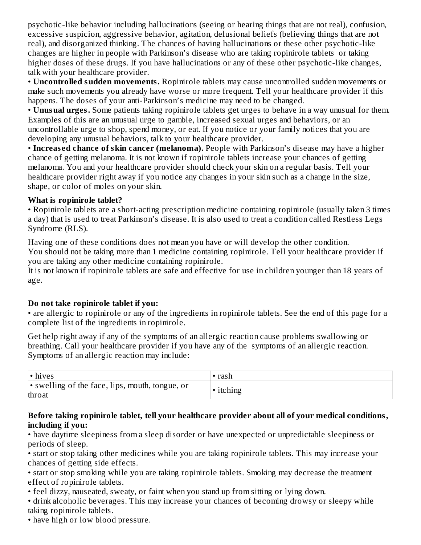psychotic-like behavior including hallucinations (seeing or hearing things that are not real), confusion, excessive suspicion, aggressive behavior, agitation, delusional beliefs (believing things that are not real), and disorganized thinking. The chances of having hallucinations or these other psychotic-like changes are higher in people with Parkinson's disease who are taking ropinirole tablets or taking higher doses of these drugs. If you have hallucinations or any of these other psychotic-like changes, talk with your healthcare provider.

• **Uncontrolled sudden movements.** Ropinirole tablets may cause uncontrolled sudden movements or make such movements you already have worse or more frequent. Tell your healthcare provider if this happens. The doses of your anti-Parkinson's medicine may need to be changed.

• **Unusual urges.** Some patients taking ropinirole tablets get urges to behave in a way unusual for them. Examples of this are an unusual urge to gamble, increased sexual urges and behaviors, or an uncontrollable urge to shop, spend money, or eat. If you notice or your family notices that you are developing any unusual behaviors, talk to your healthcare provider.

• **Increas ed chance of skin cancer (melanoma).** People with Parkinson's disease may have a higher chance of getting melanoma. It is not known if ropinirole tablets increase your chances of getting melanoma. You and your healthcare provider should check your skin on a regular basis. Tell your healthcare provider right away if you notice any changes in your skin such as a change in the size, shape, or color of moles on your skin.

#### **What is ropinirole tablet?**

• Ropinirole tablets are a short-acting prescription medicine containing ropinirole (usually taken 3 times a day) that is used to treat Parkinson's disease. It is also used to treat a condition called Restless Legs Syndrome (RLS).

Having one of these conditions does not mean you have or will develop the other condition. You should not be taking more than 1 medicine containing ropinirole. Tell your healthcare provider if you are taking any other medicine containing ropinirole.

It is not known if ropinirole tablets are safe and effective for use in children younger than 18 years of age.

#### **Do not take ropinirole tablet if you:**

• are allergic to ropinirole or any of the ingredients in ropinirole tablets. See the end of this page for a complete list of the ingredients in ropinirole.

Get help right away if any of the symptoms of an allergic reaction cause problems swallowing or breathing. Call your healthcare provider if you have any of the symptoms of an allergic reaction. Symptoms of an allergic reaction may include:

| $\cdot$ hives                                             | • rash    |
|-----------------------------------------------------------|-----------|
| • swelling of the face, lips, mouth, tongue, or<br>throat | • itching |

#### **Before taking ropinirole tablet, tell your healthcare provider about all of your medical conditions, including if you:**

• have daytime sleepiness from a sleep disorder or have unexpected or unpredictable sleepiness or periods of sleep.

• start or stop taking other medicines while you are taking ropinirole tablets. This may increase your chances of getting side effects.

• start or stop smoking while you are taking ropinirole tablets. Smoking may decrease the treatment effect of ropinirole tablets.

• feel dizzy, nauseated, sweaty, or faint when you stand up from sitting or lying down.

• drink alcoholic beverages. This may increase your chances of becoming drowsy or sleepy while taking ropinirole tablets.

• have high or low blood pressure.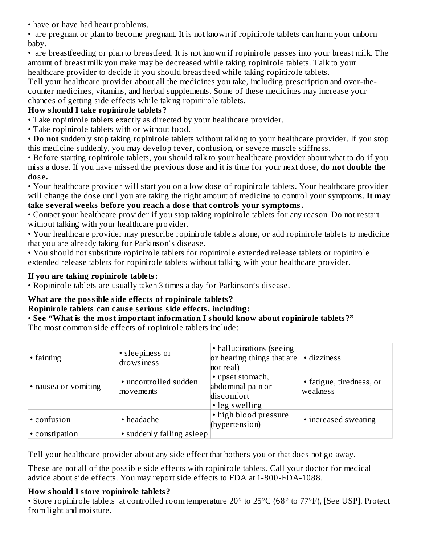• have or have had heart problems.

• are pregnant or plan to become pregnant. It is not known if ropinirole tablets can harm your unborn baby.

• are breastfeeding or plan to breastfeed. It is not known if ropinirole passes into your breast milk. The amount of breast milk you make may be decreased while taking ropinirole tablets. Talk to your healthcare provider to decide if you should breastfeed while taking ropinirole tablets.

Tell your healthcare provider about all the medicines you take, including prescription and over-thecounter medicines, vitamins, and herbal supplements. Some of these medicines may increase your chances of getting side effects while taking ropinirole tablets.

## **How should I take ropinirole tablets?**

- Take ropinirole tablets exactly as directed by your healthcare provider.
- Take ropinirole tablets with or without food.

• **Do not** suddenly stop taking ropinirole tablets without talking to your healthcare provider. If you stop this medicine suddenly, you may develop fever, confusion, or severe muscle stiffness.

• Before starting ropinirole tablets, you should talk to your healthcare provider about what to do if you miss a dose. If you have missed the previous dose and it is time for your next dose, **do not double the dos e.**

• Your healthcare provider will start you on a low dose of ropinirole tablets. Your healthcare provider will change the dose until you are taking the right amount of medicine to control your symptoms. **It may take s everal weeks before you reach a dos e that controls your symptoms.**

• Contact your healthcare provider if you stop taking ropinirole tablets for any reason. Do not restart without talking with your healthcare provider.

• Your healthcare provider may prescribe ropinirole tablets alone, or add ropinirole tablets to medicine that you are already taking for Parkinson's disease.

• You should not substitute ropinirole tablets for ropinirole extended release tablets or ropinirole extended release tablets for ropinirole tablets without talking with your healthcare provider.

### **If you are taking ropinirole tablets:**

• Ropinirole tablets are usually taken 3 times a day for Parkinson's disease.

## **What are the possible side effects of ropinirole tablets?**

**Ropinirole tablets can caus e s erious side effects, including:**

# • **See "What is the most important information I should know about ropinirole tablets?"**

The most common side effects of ropinirole tablets include:

| • fainting           | • sleepiness or<br>drowsiness      | • hallucinations (seeing)<br>or hearing things that are<br>not real) | · dizziness                          |
|----------------------|------------------------------------|----------------------------------------------------------------------|--------------------------------------|
| • nausea or vomiting | • uncontrolled sudden<br>movements | • upset stomach,<br>abdominal pain or<br>discomfort                  | • fatigue, tiredness, or<br>weakness |
|                      |                                    | • leg swelling                                                       |                                      |
| • confusion          | • headache                         | • high blood pressure<br>(hypertension)                              | • increased sweating                 |
| • constipation       | • suddenly falling asleep          |                                                                      |                                      |

Tell your healthcare provider about any side effect that bothers you or that does not go away.

These are not all of the possible side effects with ropinirole tablets. Call your doctor for medical advice about side effects. You may report side effects to FDA at 1-800-FDA-1088.

## **How should I store ropinirole tablets?**

• Store ropinirole tablets at controlled room temperature 20° to 25°C (68° to 77°F), [See USP]. Protect from light and moisture.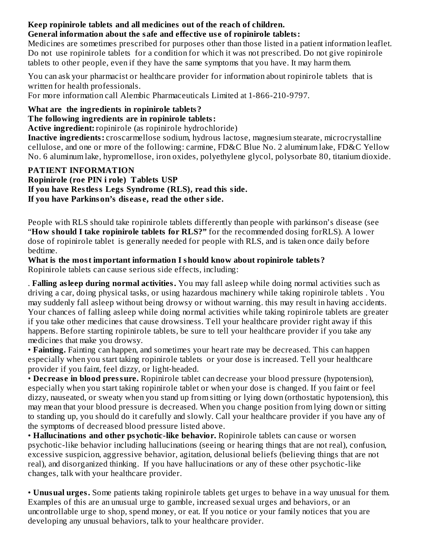#### **Keep ropinirole tablets and all medicines out of the reach of children. General information about the safe and effective us e of ropinirole tablets:**

Medicines are sometimes prescribed for purposes other than those listed in a patient information leaflet. Do not use ropinirole tablets for a condition for which it was not prescribed. Do not give ropinirole tablets to other people, even if they have the same symptoms that you have. It may harm them.

You can ask your pharmacist or healthcare provider for information about ropinirole tablets that is written for health professionals.

For more information call Alembic Pharmaceuticals Limited at 1-866-210-9797.

### **What are the ingredients in ropinirole tablets?**

### **The following ingredients are in ropinirole tablets:**

**Active ingredient:** ropinirole (as ropinirole hydrochloride)

**Inactive ingredients:** croscarmellose sodium, hydrous lactose, magnesium stearate, microcrystalline cellulose, and one or more of the following: carmine, FD&C Blue No. 2 aluminum lake, FD&C Yellow No. 6 aluminum lake, hypromellose, iron oxides, polyethylene glycol, polysorbate 80, titanium dioxide.

### **PATIENT INFORMATION**

**Ropinirole (roe PIN i role) Tablets USP If you have Restless Legs Syndrome (RLS), read this side. If you have Parkinson's dis eas e, read the other side.**

People with RLS should take ropinirole tablets differently than people with parkinson's disease (see "**How should I take ropinirole tablets for RLS?"** for the recommended dosing forRLS). A lower dose of ropinirole tablet is generally needed for people with RLS, and is taken once daily before bedtime.

**What is the most important information I should know about ropinirole tablets?** Ropinirole tablets can cause serious side effects, including:

. **Falling asleep during normal activities.** You may fall asleep while doing normal activities such as driving a car, doing physical tasks, or using hazardous machinery while taking ropinirole tablets . You may suddenly fall asleep without being drowsy or without warning. this may result in having accidents. Your chances of falling asleep while doing normal activities while taking ropinirole tablets are greater if you take other medicines that cause drowsiness. Tell your healthcare provider right away if this happens. Before starting ropinirole tablets, be sure to tell your healthcare provider if you take any medicines that make you drowsy.

• **Fainting.** Fainting can happen, and sometimes your heart rate may be decreased. This can happen especially when you start taking ropinirole tablets or your dose is increased. Tell your healthcare provider if you faint, feel dizzy, or light-headed.

• **Decreas e in blood pressure.** Ropinirole tablet can decrease your blood pressure (hypotension), especially when you start taking ropinirole tablet or when your dose is changed. If you faint or feel dizzy, nauseated, or sweaty when you stand up from sitting or lying down (orthostatic hypotension), this may mean that your blood pressure is decreased. When you change position from lying down or sitting to standing up, you should do it carefully and slowly. Call your healthcare provider if you have any of the symptoms of decreased blood pressure listed above.

• **Hallucinations and other psychotic-like behavior.** Ropinirole tablets can cause or worsen psychotic-like behavior including hallucinations (seeing or hearing things that are not real), confusion, excessive suspicion, aggressive behavior, agitation, delusional beliefs (believing things that are not real), and disorganized thinking. If you have hallucinations or any of these other psychotic-like changes, talk with your healthcare provider.

• **Unusual urges.** Some patients taking ropinirole tablets get urges to behave in a way unusual for them. Examples of this are an unusual urge to gamble, increased sexual urges and behaviors, or an uncontrollable urge to shop, spend money, or eat. If you notice or your family notices that you are developing any unusual behaviors, talk to your healthcare provider.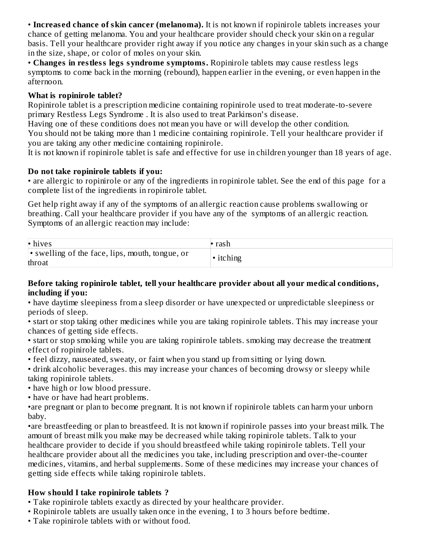• **Increas ed chance of skin cancer (melanoma).** It is not known if ropinirole tablets increases your chance of getting melanoma. You and your healthcare provider should check your skin on a regular basis. Tell your healthcare provider right away if you notice any changes in your skin such as a change in the size, shape, or color of moles on your skin.

• **Changes in restless legs syndrome symptoms.** Ropinirole tablets may cause restless legs symptoms to come back in the morning (rebound), happen earlier in the evening, or even happen in the afternoon.

#### **What is ropinirole tablet?**

Ropinirole tablet is a prescription medicine containing ropinirole used to treat moderate-to-severe primary Restless Legs Syndrome . It is also used to treat Parkinson's disease.

Having one of these conditions does not mean you have or will develop the other condition. You should not be taking more than 1 medicine containing ropinirole. Tell your healthcare provider if you are taking any other medicine containing ropinirole.

It is not known if ropinirole tablet is safe and effective for use in children younger than 18 years of age.

### **Do not take ropinirole tablets if you:**

• are allergic to ropinirole or any of the ingredients in ropinirole tablet. See the end of this page for a complete list of the ingredients in ropinirole tablet.

Get help right away if any of the symptoms of an allergic reaction cause problems swallowing or breathing. Call your healthcare provider if you have any of the symptoms of an allergic reaction. Symptoms of an allergic reaction may include:

| $\cdot$ hives                                             | rash    |
|-----------------------------------------------------------|---------|
| • swelling of the face, lips, mouth, tongue, or<br>throat | itching |

#### **Before taking ropinirole tablet, tell your healthcare provider about all your medical conditions, including if you:**

• have daytime sleepiness from a sleep disorder or have unexpected or unpredictable sleepiness or periods of sleep.

• start or stop taking other medicines while you are taking ropinirole tablets. This may increase your chances of getting side effects.

• start or stop smoking while you are taking ropinirole tablets. smoking may decrease the treatment effect of ropinirole tablets.

• feel dizzy, nauseated, sweaty, or faint when you stand up from sitting or lying down.

• drink alcoholic beverages. this may increase your chances of becoming drowsy or sleepy while taking ropinirole tablets.

• have high or low blood pressure.

• have or have had heart problems.

•are pregnant or plan to become pregnant. It is not known if ropinirole tablets can harm your unborn baby.

•are breastfeeding or plan to breastfeed. It is not known if ropinirole passes into your breast milk. The amount of breast milk you make may be decreased while taking ropinirole tablets. Talk to your healthcare provider to decide if you should breastfeed while taking ropinirole tablets. Tell your healthcare provider about all the medicines you take, including prescription and over-the-counter medicines, vitamins, and herbal supplements. Some of these medicines may increase your chances of getting side effects while taking ropinirole tablets.

### **How should I take ropinirole tablets ?**

- Take ropinirole tablets exactly as directed by your healthcare provider.
- Ropinirole tablets are usually taken once in the evening, 1 to 3 hours before bedtime.
- Take ropinirole tablets with or without food.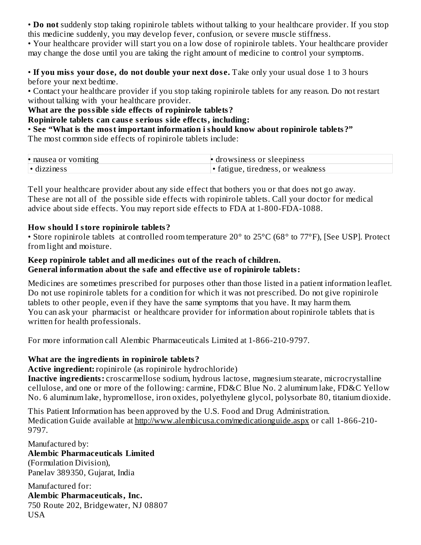• **Do not** suddenly stop taking ropinirole tablets without talking to your healthcare provider. If you stop this medicine suddenly, you may develop fever, confusion, or severe muscle stiffness.

• Your healthcare provider will start you on a low dose of ropinirole tablets. Your healthcare provider may change the dose until you are taking the right amount of medicine to control your symptoms.

• **If you miss your dos e, do not double your next dos e.** Take only your usual dose 1 to 3 hours before your next bedtime.

• Contact your healthcare provider if you stop taking ropinirole tablets for any reason. Do not restart without talking with your healthcare provider.

**What are the possible side effects of ropinirole tablets?**

**Ropinirole tablets can caus e s erious side effects, including:**

• **See "What is the most important information i should know about ropinirole tablets?"** The most common side effects of ropinirole tablets include:

| • nausea or vomiting | drowsiness or sleepiness                |
|----------------------|-----------------------------------------|
| $\cdot$ dizziness    | tiredness.<br>. or weakness<br>tatigue. |

Tell your healthcare provider about any side effect that bothers you or that does not go away. These are not all of the possible side effects with ropinirole tablets. Call your doctor for medical advice about side effects. You may report side effects to FDA at 1-800-FDA-1088.

#### **How should I store ropinirole tablets?**

• Store ropinirole tablets at controlled room temperature 20° to 25°C (68° to 77°F), [See USP]. Protect from light and moisture.

#### **Keep ropinirole tablet and all medicines out of the reach of children. General information about the safe and effective us e of ropinirole tablets:**

Medicines are sometimes prescribed for purposes other than those listed in a patient information leaflet. Do not use ropinirole tablets for a condition for which it was not prescribed. Do not give ropinirole tablets to other people, even if they have the same symptoms that you have. It may harm them. You can ask your pharmacist or healthcare provider for information about ropinirole tablets that is written for health professionals.

For more information call Alembic Pharmaceuticals Limited at 1-866-210-9797.

#### **What are the ingredients in ropinirole tablets?**

**Active ingredient:** ropinirole (as ropinirole hydrochloride)

**Inactive ingredients:** croscarmellose sodium, hydrous lactose, magnesium stearate, microcrystalline cellulose, and one or more of the following: carmine, FD&C Blue No. 2 aluminum lake, FD&C Yellow No. 6 aluminum lake, hypromellose, iron oxides, polyethylene glycol, polysorbate 80, titanium dioxide.

This Patient Information has been approved by the U.S. Food and Drug Administration. Medication Guide available at http://www.alembicusa.com/medicationguide.aspx or call 1-866-210-9797.

Manufactured by: **Alembic Pharmaceuticals Limited** (Formulation Division), Panelav 389350, Gujarat, India

Manufactured for: **Alembic Pharmaceuticals, Inc.** 750 Route 202, Bridgewater, NJ 08807 USA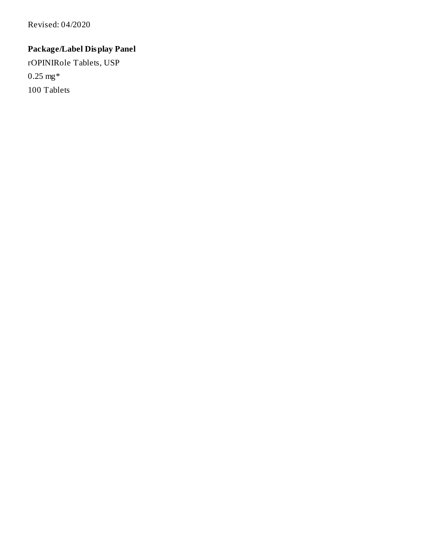Revised: 04/2020

# **Package/Label Display Panel**

rOPINIRole Tablets, USP 0.25 mg\* 100 Tablets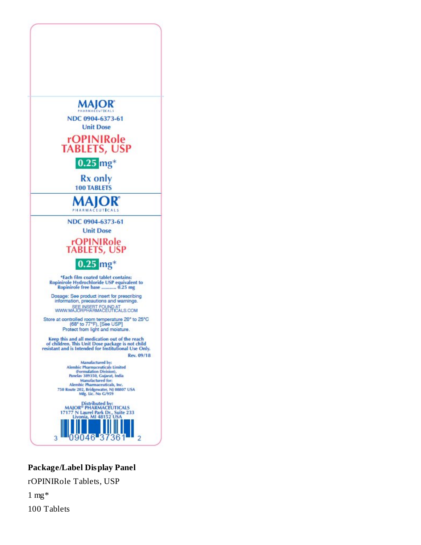

### **Package/Label Display Panel**

rOPINIRole Tablets, USP

 $1$  mg $*$ 100 Tablets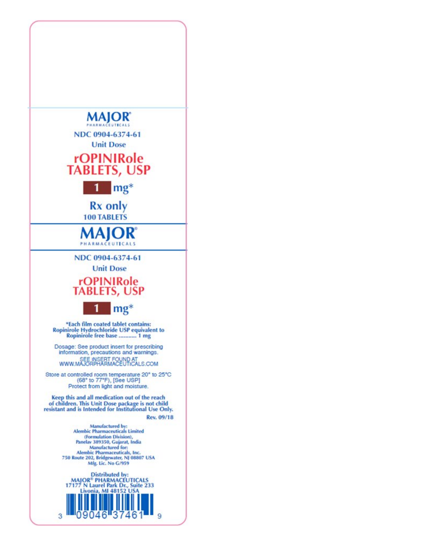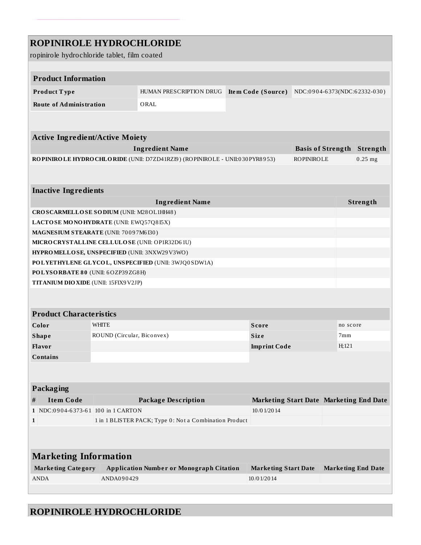# **ROPINIROLE HYDROCHLORIDE**

ropinirole hydrochloride tablet, film coated

| <b>Product Information</b>                                                  |                                                        |                             |                                         |          |                                   |  |
|-----------------------------------------------------------------------------|--------------------------------------------------------|-----------------------------|-----------------------------------------|----------|-----------------------------------|--|
| Product Type                                                                | HUMAN PRESCRIPTION DRUG                                | <b>Item Code (Source)</b>   | NDC:0904-6373(NDC:62332-030)            |          |                                   |  |
| <b>Route of Administration</b>                                              | ORAL                                                   |                             |                                         |          |                                   |  |
|                                                                             |                                                        |                             |                                         |          |                                   |  |
|                                                                             |                                                        |                             |                                         |          |                                   |  |
| <b>Active Ingredient/Active Moiety</b>                                      |                                                        |                             |                                         |          |                                   |  |
|                                                                             | <b>Ingredient Name</b>                                 |                             |                                         |          | <b>Basis of Strength Strength</b> |  |
| ROPINIROLE HYDROCHLORIDE (UNII: D7ZD41RZI9) (ROPINIROLE - UNII:030 PYR8953) |                                                        |                             | <b>ROPINIROLE</b>                       |          | $0.25$ mg                         |  |
|                                                                             |                                                        |                             |                                         |          |                                   |  |
| <b>Inactive Ingredients</b>                                                 |                                                        |                             |                                         |          |                                   |  |
|                                                                             | <b>Ingredient Name</b>                                 |                             |                                         |          | Strength                          |  |
| CROSCARMELLOSE SODIUM (UNII: M28OL1HH48)                                    |                                                        |                             |                                         |          |                                   |  |
| LACTOSE MONOHYDRATE (UNII: EWQ57Q8I5X)                                      |                                                        |                             |                                         |          |                                   |  |
| MAGNESIUM STEARATE (UNII: 70097M6I30)                                       |                                                        |                             |                                         |          |                                   |  |
| MICRO CRYSTALLINE CELLULO SE (UNII: OP1R32D61U)                             |                                                        |                             |                                         |          |                                   |  |
| HYPROMELLOSE, UNSPECIFIED (UNII: 3NXW29V3WO)                                |                                                        |                             |                                         |          |                                   |  |
| POLYETHYLENE GLYCOL, UNSPECIFIED (UNII: 3WJQ0SDW1A)                         |                                                        |                             |                                         |          |                                   |  |
| POLYSORBATE 80 (UNII: 6OZP39ZG8H)                                           |                                                        |                             |                                         |          |                                   |  |
| <b>TITANIUM DIO XIDE (UNII: 15FIX9 V2JP)</b>                                |                                                        |                             |                                         |          |                                   |  |
|                                                                             |                                                        |                             |                                         |          |                                   |  |
|                                                                             |                                                        |                             |                                         |          |                                   |  |
| <b>Product Characteristics</b>                                              |                                                        |                             |                                         |          |                                   |  |
| Color<br>WHITE                                                              |                                                        | <b>Score</b>                |                                         | no score |                                   |  |
| <b>Shape</b><br>ROUND (Circular, Biconvex)                                  |                                                        | <b>Size</b>                 |                                         |          | 7mm                               |  |
| Flavor                                                                      |                                                        | <b>Imprint Code</b>         |                                         | H:121    |                                   |  |
| Contains                                                                    |                                                        |                             |                                         |          |                                   |  |
|                                                                             |                                                        |                             |                                         |          |                                   |  |
|                                                                             |                                                        |                             |                                         |          |                                   |  |
| Packaging                                                                   |                                                        |                             |                                         |          |                                   |  |
| <b>Item Code</b><br>#                                                       | <b>Package Description</b>                             |                             | Marketing Start Date Marketing End Date |          |                                   |  |
| 1 NDC:0904-6373-61 100 in 1 CARTON                                          |                                                        | 10/01/2014                  |                                         |          |                                   |  |
| $\mathbf{1}$                                                                | 1 in 1 BLISTER PACK; Type 0: Not a Combination Product |                             |                                         |          |                                   |  |
|                                                                             |                                                        |                             |                                         |          |                                   |  |
|                                                                             |                                                        |                             |                                         |          |                                   |  |
| <b>Marketing Information</b>                                                |                                                        |                             |                                         |          |                                   |  |
| <b>Marketing Category</b>                                                   | <b>Application Number or Monograph Citation</b>        | <b>Marketing Start Date</b> |                                         |          |                                   |  |
|                                                                             |                                                        |                             |                                         |          | <b>Marketing End Date</b>         |  |

## **ROPINIROLE HYDROCHLORIDE**